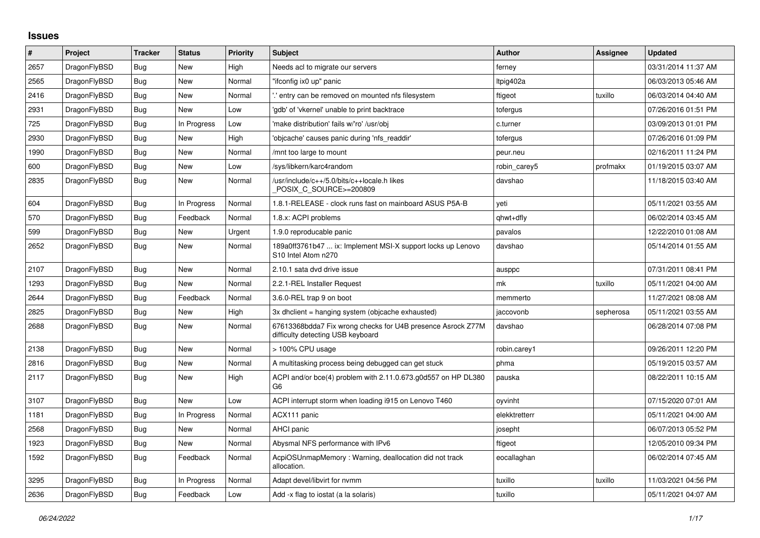## **Issues**

| $\sharp$ | Project      | <b>Tracker</b> | <b>Status</b> | <b>Priority</b> | <b>Subject</b>                                                                                   | <b>Author</b> | Assignee  | <b>Updated</b>      |
|----------|--------------|----------------|---------------|-----------------|--------------------------------------------------------------------------------------------------|---------------|-----------|---------------------|
| 2657     | DragonFlyBSD | <b>Bug</b>     | <b>New</b>    | High            | Needs acl to migrate our servers                                                                 | ferney        |           | 03/31/2014 11:37 AM |
| 2565     | DragonFlyBSD | Bug            | New           | Normal          | "ifconfig ix0 up" panic                                                                          | Itpig402a     |           | 06/03/2013 05:46 AM |
| 2416     | DragonFlyBSD | Bug            | New           | Normal          | ".' entry can be removed on mounted nfs filesystem                                               | ftigeot       | tuxillo   | 06/03/2014 04:40 AM |
| 2931     | DragonFlyBSD | <b>Bug</b>     | <b>New</b>    | Low             | 'gdb' of 'vkernel' unable to print backtrace                                                     | tofergus      |           | 07/26/2016 01:51 PM |
| 725      | DragonFlyBSD | <b>Bug</b>     | In Progress   | Low             | 'make distribution' fails w/'ro' /usr/obj                                                        | c.turner      |           | 03/09/2013 01:01 PM |
| 2930     | DragonFlyBSD | <b>Bug</b>     | New           | High            | 'objcache' causes panic during 'nfs_readdir'                                                     | tofergus      |           | 07/26/2016 01:09 PM |
| 1990     | DragonFlyBSD | <b>Bug</b>     | New           | Normal          | /mnt too large to mount                                                                          | peur.neu      |           | 02/16/2011 11:24 PM |
| 600      | DragonFlyBSD | Bug            | New           | Low             | /sys/libkern/karc4random                                                                         | robin_carey5  | profmakx  | 01/19/2015 03:07 AM |
| 2835     | DragonFlyBSD | Bug            | New           | Normal          | /usr/include/c++/5.0/bits/c++locale.h likes<br>POSIX C SOURCE>=200809                            | davshao       |           | 11/18/2015 03:40 AM |
| 604      | DragonFlyBSD | Bug            | In Progress   | Normal          | 1.8.1-RELEASE - clock runs fast on mainboard ASUS P5A-B                                          | veti          |           | 05/11/2021 03:55 AM |
| 570      | DragonFlyBSD | <b>Bug</b>     | Feedback      | Normal          | 1.8.x: ACPI problems                                                                             | qhwt+dfly     |           | 06/02/2014 03:45 AM |
| 599      | DragonFlyBSD | <b>Bug</b>     | New           | Urgent          | 1.9.0 reproducable panic                                                                         | pavalos       |           | 12/22/2010 01:08 AM |
| 2652     | DragonFlyBSD | Bug            | New           | Normal          | 189a0ff3761b47  ix: Implement MSI-X support locks up Lenovo<br>S10 Intel Atom n270               | davshao       |           | 05/14/2014 01:55 AM |
| 2107     | DragonFlyBSD | <b>Bug</b>     | <b>New</b>    | Normal          | 2.10.1 sata dvd drive issue                                                                      | ausppc        |           | 07/31/2011 08:41 PM |
| 1293     | DragonFlyBSD | Bug            | New           | Normal          | 2.2.1-REL Installer Request                                                                      | mk            | tuxillo   | 05/11/2021 04:00 AM |
| 2644     | DragonFlyBSD | <b>Bug</b>     | Feedback      | Normal          | 3.6.0-REL trap 9 on boot                                                                         | memmerto      |           | 11/27/2021 08:08 AM |
| 2825     | DragonFlyBSD | <b>Bug</b>     | New           | High            | 3x dhclient = hanging system (objcache exhausted)                                                | jaccovonb     | sepherosa | 05/11/2021 03:55 AM |
| 2688     | DragonFlyBSD | Bug            | New           | Normal          | 67613368bdda7 Fix wrong checks for U4B presence Asrock Z77M<br>difficulty detecting USB keyboard | davshao       |           | 06/28/2014 07:08 PM |
| 2138     | DragonFlyBSD | <b>Bug</b>     | New           | Normal          | > 100% CPU usage                                                                                 | robin.carey1  |           | 09/26/2011 12:20 PM |
| 2816     | DragonFlyBSD | <b>Bug</b>     | New           | Normal          | A multitasking process being debugged can get stuck                                              | phma          |           | 05/19/2015 03:57 AM |
| 2117     | DragonFlyBSD | <b>Bug</b>     | New           | High            | ACPI and/or bce(4) problem with 2.11.0.673.g0d557 on HP DL380<br>G6                              | pauska        |           | 08/22/2011 10:15 AM |
| 3107     | DragonFlyBSD | <b>Bug</b>     | New           | Low             | ACPI interrupt storm when loading i915 on Lenovo T460                                            | oyvinht       |           | 07/15/2020 07:01 AM |
| 1181     | DragonFlyBSD | <b>Bug</b>     | In Progress   | Normal          | ACX111 panic                                                                                     | elekktretterr |           | 05/11/2021 04:00 AM |
| 2568     | DragonFlyBSD | Bug            | New           | Normal          | <b>AHCI</b> panic                                                                                | josepht       |           | 06/07/2013 05:52 PM |
| 1923     | DragonFlyBSD | Bug            | New           | Normal          | Abysmal NFS performance with IPv6                                                                | ftigeot       |           | 12/05/2010 09:34 PM |
| 1592     | DragonFlyBSD | <b>Bug</b>     | Feedback      | Normal          | AcpiOSUnmapMemory: Warning, deallocation did not track<br>allocation.                            | eocallaghan   |           | 06/02/2014 07:45 AM |
| 3295     | DragonFlyBSD | <b>Bug</b>     | In Progress   | Normal          | Adapt devel/libvirt for nvmm                                                                     | tuxillo       | tuxillo   | 11/03/2021 04:56 PM |
| 2636     | DragonFlyBSD | <b>Bug</b>     | Feedback      | Low             | Add -x flag to iostat (a la solaris)                                                             | tuxillo       |           | 05/11/2021 04:07 AM |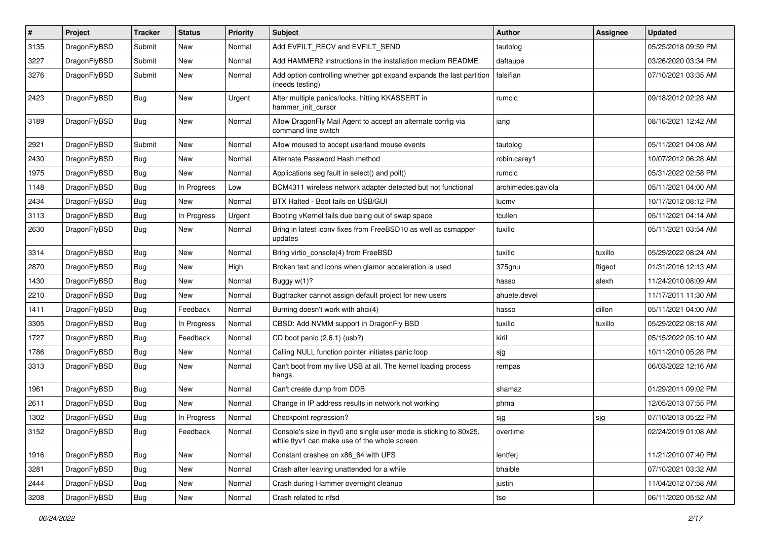| $\pmb{\#}$ | Project      | <b>Tracker</b> | <b>Status</b> | <b>Priority</b> | Subject                                                                                                            | <b>Author</b>      | Assignee | <b>Updated</b>      |
|------------|--------------|----------------|---------------|-----------------|--------------------------------------------------------------------------------------------------------------------|--------------------|----------|---------------------|
| 3135       | DragonFlyBSD | Submit         | <b>New</b>    | Normal          | Add EVFILT_RECV and EVFILT_SEND                                                                                    | tautolog           |          | 05/25/2018 09:59 PM |
| 3227       | DragonFlyBSD | Submit         | New           | Normal          | Add HAMMER2 instructions in the installation medium README                                                         | daftaupe           |          | 03/26/2020 03:34 PM |
| 3276       | DragonFlyBSD | Submit         | New           | Normal          | Add option controlling whether gpt expand expands the last partition<br>(needs testing)                            | falsifian          |          | 07/10/2021 03:35 AM |
| 2423       | DragonFlyBSD | Bug            | New           | Urgent          | After multiple panics/locks, hitting KKASSERT in<br>hammer init cursor                                             | rumcic             |          | 09/18/2012 02:28 AM |
| 3189       | DragonFlyBSD | Bug            | New           | Normal          | Allow DragonFly Mail Agent to accept an alternate config via<br>command line switch                                | iang               |          | 08/16/2021 12:42 AM |
| 2921       | DragonFlyBSD | Submit         | <b>New</b>    | Normal          | Allow moused to accept userland mouse events                                                                       | tautolog           |          | 05/11/2021 04:08 AM |
| 2430       | DragonFlyBSD | Bug            | New           | Normal          | Alternate Password Hash method                                                                                     | robin.carey1       |          | 10/07/2012 06:28 AM |
| 1975       | DragonFlyBSD | Bug            | New           | Normal          | Applications seg fault in select() and poll()                                                                      | rumcic             |          | 05/31/2022 02:58 PM |
| 1148       | DragonFlyBSD | Bug            | In Progress   | Low             | BCM4311 wireless network adapter detected but not functional                                                       | archimedes.gaviola |          | 05/11/2021 04:00 AM |
| 2434       | DragonFlyBSD | Bug            | New           | Normal          | BTX Halted - Boot fails on USB/GUI                                                                                 | lucmv              |          | 10/17/2012 08:12 PM |
| 3113       | DragonFlyBSD | Bug            | In Progress   | Urgent          | Booting vKernel fails due being out of swap space                                                                  | tcullen            |          | 05/11/2021 04:14 AM |
| 2630       | DragonFlyBSD | Bug            | New           | Normal          | Bring in latest iconv fixes from FreeBSD10 as well as csmapper<br>updates                                          | tuxillo            |          | 05/11/2021 03:54 AM |
| 3314       | DragonFlyBSD | Bug            | <b>New</b>    | Normal          | Bring virtio console(4) from FreeBSD                                                                               | tuxillo            | tuxillo  | 05/29/2022 08:24 AM |
| 2870       | DragonFlyBSD | Bug            | <b>New</b>    | High            | Broken text and icons when glamor acceleration is used                                                             | 375gnu             | ftigeot  | 01/31/2016 12:13 AM |
| 1430       | DragonFlyBSD | Bug            | New           | Normal          | Buggy $w(1)$ ?                                                                                                     | hasso              | alexh    | 11/24/2010 08:09 AM |
| 2210       | DragonFlyBSD | Bug            | New           | Normal          | Bugtracker cannot assign default project for new users                                                             | ahuete.devel       |          | 11/17/2011 11:30 AM |
| 1411       | DragonFlyBSD | <b>Bug</b>     | Feedback      | Normal          | Burning doesn't work with ahci(4)                                                                                  | hasso              | dillon   | 05/11/2021 04:00 AM |
| 3305       | DragonFlyBSD | Bug            | In Progress   | Normal          | CBSD: Add NVMM support in DragonFly BSD                                                                            | tuxillo            | tuxillo  | 05/29/2022 08:18 AM |
| 1727       | DragonFlyBSD | Bug            | Feedback      | Normal          | CD boot panic (2.6.1) (usb?)                                                                                       | kiril              |          | 05/15/2022 05:10 AM |
| 1786       | DragonFlyBSD | Bug            | New           | Normal          | Calling NULL function pointer initiates panic loop                                                                 | sjg                |          | 10/11/2010 05:28 PM |
| 3313       | DragonFlyBSD | Bug            | New           | Normal          | Can't boot from my live USB at all. The kernel loading process<br>hangs.                                           | rempas             |          | 06/03/2022 12:16 AM |
| 1961       | DragonFlyBSD | Bug            | New           | Normal          | Can't create dump from DDB                                                                                         | shamaz             |          | 01/29/2011 09:02 PM |
| 2611       | DragonFlyBSD | Bug            | New           | Normal          | Change in IP address results in network not working                                                                | phma               |          | 12/05/2013 07:55 PM |
| 1302       | DragonFlyBSD | Bug            | In Progress   | Normal          | Checkpoint regression?                                                                                             | sjg                | sjg      | 07/10/2013 05:22 PM |
| 3152       | DragonFlyBSD | Bug            | Feedback      | Normal          | Console's size in ttyv0 and single user mode is sticking to 80x25,<br>while ttyv1 can make use of the whole screen | overtime           |          | 02/24/2019 01:08 AM |
| 1916       | DragonFlyBSD | Bug            | New           | Normal          | Constant crashes on x86_64 with UFS                                                                                | lentferj           |          | 11/21/2010 07:40 PM |
| 3281       | DragonFlyBSD | <b>Bug</b>     | New           | Normal          | Crash after leaving unattended for a while                                                                         | bhaible            |          | 07/10/2021 03:32 AM |
| 2444       | DragonFlyBSD | <b>Bug</b>     | New           | Normal          | Crash during Hammer overnight cleanup                                                                              | justin             |          | 11/04/2012 07:58 AM |
| 3208       | DragonFlyBSD | Bug            | New           | Normal          | Crash related to nfsd                                                                                              | tse                |          | 06/11/2020 05:52 AM |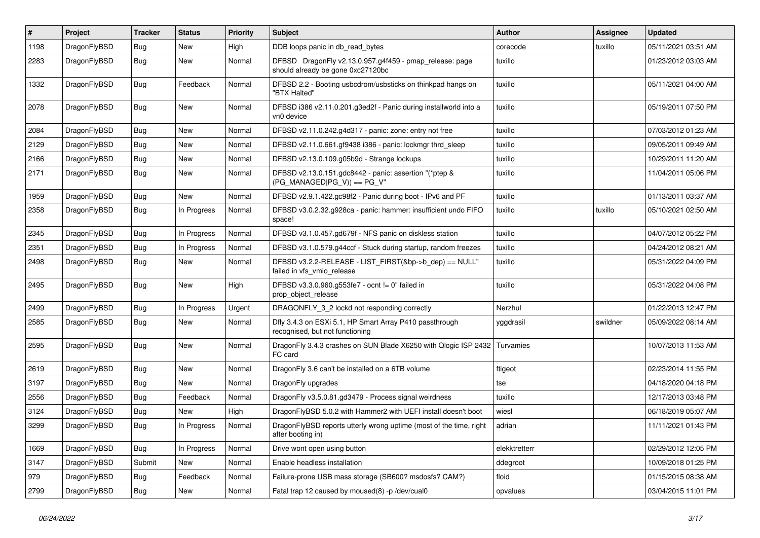| $\vert$ # | <b>Project</b> | <b>Tracker</b> | <b>Status</b> | <b>Priority</b> | <b>Subject</b>                                                                               | <b>Author</b> | <b>Assignee</b> | <b>Updated</b>      |
|-----------|----------------|----------------|---------------|-----------------|----------------------------------------------------------------------------------------------|---------------|-----------------|---------------------|
| 1198      | DragonFlyBSD   | Bug            | <b>New</b>    | High            | DDB loops panic in db read bytes                                                             | corecode      | tuxillo         | 05/11/2021 03:51 AM |
| 2283      | DragonFlyBSD   | Bug            | <b>New</b>    | Normal          | DFBSD DragonFly v2.13.0.957.g4f459 - pmap_release: page<br>should already be gone 0xc27120bc | tuxillo       |                 | 01/23/2012 03:03 AM |
| 1332      | DragonFlyBSD   | <b>Bug</b>     | Feedback      | Normal          | DFBSD 2.2 - Booting usbcdrom/usbsticks on thinkpad hangs on<br>"BTX Halted"                  | tuxillo       |                 | 05/11/2021 04:00 AM |
| 2078      | DragonFlyBSD   | Bug            | <b>New</b>    | Normal          | DFBSD i386 v2.11.0.201.g3ed2f - Panic during installworld into a<br>vn0 device               | tuxillo       |                 | 05/19/2011 07:50 PM |
| 2084      | DragonFlyBSD   | Bug            | <b>New</b>    | Normal          | DFBSD v2.11.0.242.g4d317 - panic: zone: entry not free                                       | tuxillo       |                 | 07/03/2012 01:23 AM |
| 2129      | DragonFlyBSD   | Bug            | <b>New</b>    | Normal          | DFBSD v2.11.0.661.gf9438 i386 - panic: lockmgr thrd_sleep                                    | tuxillo       |                 | 09/05/2011 09:49 AM |
| 2166      | DragonFlyBSD   | Bug            | New           | Normal          | DFBSD v2.13.0.109.g05b9d - Strange lockups                                                   | tuxillo       |                 | 10/29/2011 11:20 AM |
| 2171      | DragonFlyBSD   | Bug            | <b>New</b>    | Normal          | DFBSD v2.13.0.151.gdc8442 - panic: assertion "(*ptep &<br>$(PG_MANAGED PG_V)$ == $PG_V$ "    | tuxillo       |                 | 11/04/2011 05:06 PM |
| 1959      | DragonFlyBSD   | Bug            | <b>New</b>    | Normal          | DFBSD v2.9.1.422.gc98f2 - Panic during boot - IPv6 and PF                                    | tuxillo       |                 | 01/13/2011 03:37 AM |
| 2358      | DragonFlyBSD   | Bug            | In Progress   | Normal          | DFBSD v3.0.2.32.g928ca - panic: hammer: insufficient undo FIFO<br>space!                     | tuxillo       | tuxillo         | 05/10/2021 02:50 AM |
| 2345      | DragonFlyBSD   | Bug            | In Progress   | Normal          | DFBSD v3.1.0.457.gd679f - NFS panic on diskless station                                      | tuxillo       |                 | 04/07/2012 05:22 PM |
| 2351      | DragonFlyBSD   | Bug            | In Progress   | Normal          | DFBSD v3.1.0.579.g44ccf - Stuck during startup, random freezes                               | tuxillo       |                 | 04/24/2012 08:21 AM |
| 2498      | DragonFlyBSD   | Bug            | New           | Normal          | DFBSD v3.2.2-RELEASE - LIST_FIRST(&bp->b_dep) == NULL"<br>failed in vfs_vmio_release         | tuxillo       |                 | 05/31/2022 04:09 PM |
| 2495      | DragonFlyBSD   | Bug            | <b>New</b>    | High            | DFBSD v3.3.0.960.g553fe7 - ocnt != 0" failed in<br>prop object release                       | tuxillo       |                 | 05/31/2022 04:08 PM |
| 2499      | DragonFlyBSD   | Bug            | In Progress   | Urgent          | DRAGONFLY 3 2 lockd not responding correctly                                                 | Nerzhul       |                 | 01/22/2013 12:47 PM |
| 2585      | DragonFlyBSD   | <b>Bug</b>     | New           | Normal          | Dfly 3.4.3 on ESXi 5.1, HP Smart Array P410 passthrough<br>recognised, but not functioning   | yggdrasil     | swildner        | 05/09/2022 08:14 AM |
| 2595      | DragonFlyBSD   | Bug            | New           | Normal          | DragonFly 3.4.3 crashes on SUN Blade X6250 with Qlogic ISP 2432<br>FC card                   | Turvamies     |                 | 10/07/2013 11:53 AM |
| 2619      | DragonFlyBSD   | Bug            | <b>New</b>    | Normal          | DragonFly 3.6 can't be installed on a 6TB volume                                             | ftigeot       |                 | 02/23/2014 11:55 PM |
| 3197      | DragonFlyBSD   | Bug            | <b>New</b>    | Normal          | DragonFly upgrades                                                                           | tse           |                 | 04/18/2020 04:18 PM |
| 2556      | DragonFlyBSD   | Bug            | Feedback      | Normal          | DragonFly v3.5.0.81.gd3479 - Process signal weirdness                                        | tuxillo       |                 | 12/17/2013 03:48 PM |
| 3124      | DragonFlyBSD   | Bug            | <b>New</b>    | High            | DragonFlyBSD 5.0.2 with Hammer2 with UEFI install doesn't boot                               | wiesl         |                 | 06/18/2019 05:07 AM |
| 3299      | DragonFlyBSD   | Bug            | In Progress   | Normal          | DragonFlyBSD reports utterly wrong uptime (most of the time, right<br>after booting in)      | adrian        |                 | 11/11/2021 01:43 PM |
| 1669      | DragonFlyBSD   | Bug            | In Progress   | Normal          | Drive wont open using button                                                                 | elekktretterr |                 | 02/29/2012 12:05 PM |
| 3147      | DragonFlyBSD   | Submit         | <b>New</b>    | Normal          | Enable headless installation                                                                 | ddegroot      |                 | 10/09/2018 01:25 PM |
| 979       | DragonFlyBSD   | Bug            | Feedback      | Normal          | Failure-prone USB mass storage (SB600? msdosfs? CAM?)                                        | floid         |                 | 01/15/2015 08:38 AM |
| 2799      | DragonFlyBSD   | Bug            | <b>New</b>    | Normal          | Fatal trap 12 caused by moused(8) -p/dev/cual0                                               | opvalues      |                 | 03/04/2015 11:01 PM |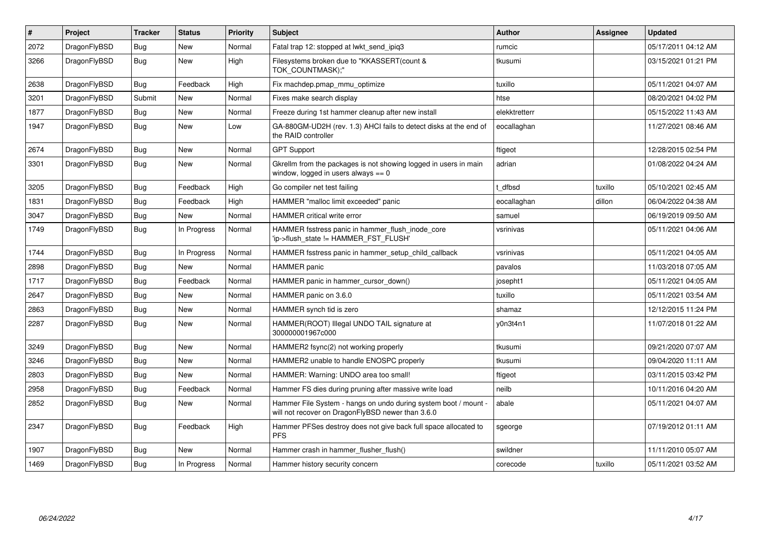| $\sharp$ | Project      | <b>Tracker</b> | <b>Status</b> | <b>Priority</b> | <b>Subject</b>                                                                                                       | Author        | Assignee | <b>Updated</b>      |
|----------|--------------|----------------|---------------|-----------------|----------------------------------------------------------------------------------------------------------------------|---------------|----------|---------------------|
| 2072     | DragonFlyBSD | Bug            | <b>New</b>    | Normal          | Fatal trap 12: stopped at lwkt send ipig3                                                                            | rumcic        |          | 05/17/2011 04:12 AM |
| 3266     | DragonFlyBSD | Bug            | <b>New</b>    | High            | Filesystems broken due to "KKASSERT(count &<br>TOK COUNTMASK);"                                                      | tkusumi       |          | 03/15/2021 01:21 PM |
| 2638     | DragonFlyBSD | Bug            | Feedback      | High            | Fix machdep.pmap mmu optimize                                                                                        | tuxillo       |          | 05/11/2021 04:07 AM |
| 3201     | DragonFlyBSD | Submit         | <b>New</b>    | Normal          | Fixes make search display                                                                                            | htse          |          | 08/20/2021 04:02 PM |
| 1877     | DragonFlyBSD | Bug            | New           | Normal          | Freeze during 1st hammer cleanup after new install                                                                   | elekktretterr |          | 05/15/2022 11:43 AM |
| 1947     | DragonFlyBSD | Bug            | New           | Low             | GA-880GM-UD2H (rev. 1.3) AHCI fails to detect disks at the end of<br>the RAID controller                             | eocallaghan   |          | 11/27/2021 08:46 AM |
| 2674     | DragonFlyBSD | Bug            | New           | Normal          | <b>GPT Support</b>                                                                                                   | ftigeot       |          | 12/28/2015 02:54 PM |
| 3301     | DragonFlyBSD | Bug            | New           | Normal          | Gkrellm from the packages is not showing logged in users in main<br>window, logged in users always $== 0$            | adrian        |          | 01/08/2022 04:24 AM |
| 3205     | DragonFlyBSD | Bug            | Feedback      | High            | Go compiler net test failing                                                                                         | dfbsd         | tuxillo  | 05/10/2021 02:45 AM |
| 1831     | DragonFlyBSD | Bug            | Feedback      | High            | HAMMER "malloc limit exceeded" panic                                                                                 | eocallaghan   | dillon   | 06/04/2022 04:38 AM |
| 3047     | DragonFlyBSD | Bug            | New           | Normal          | <b>HAMMER</b> critical write error                                                                                   | samuel        |          | 06/19/2019 09:50 AM |
| 1749     | DragonFlyBSD | Bug            | In Progress   | Normal          | HAMMER fsstress panic in hammer flush inode core<br>'ip->flush_state != HAMMER_FST_FLUSH'                            | vsrinivas     |          | 05/11/2021 04:06 AM |
| 1744     | DragonFlyBSD | Bug            | In Progress   | Normal          | HAMMER fsstress panic in hammer setup child callback                                                                 | vsrinivas     |          | 05/11/2021 04:05 AM |
| 2898     | DragonFlyBSD | <b>Bug</b>     | <b>New</b>    | Normal          | <b>HAMMER</b> panic                                                                                                  | pavalos       |          | 11/03/2018 07:05 AM |
| 1717     | DragonFlyBSD | Bug            | Feedback      | Normal          | HAMMER panic in hammer cursor down()                                                                                 | josepht1      |          | 05/11/2021 04:05 AM |
| 2647     | DragonFlyBSD | Bug            | <b>New</b>    | Normal          | HAMMER panic on 3.6.0                                                                                                | tuxillo       |          | 05/11/2021 03:54 AM |
| 2863     | DragonFlyBSD | <b>Bug</b>     | <b>New</b>    | Normal          | HAMMER synch tid is zero                                                                                             | shamaz        |          | 12/12/2015 11:24 PM |
| 2287     | DragonFlyBSD | Bug            | New           | Normal          | HAMMER(ROOT) Illegal UNDO TAIL signature at<br>300000001967c000                                                      | y0n3t4n1      |          | 11/07/2018 01:22 AM |
| 3249     | DragonFlyBSD | Bug            | <b>New</b>    | Normal          | HAMMER2 fsync(2) not working properly                                                                                | tkusumi       |          | 09/21/2020 07:07 AM |
| 3246     | DragonFlyBSD | Bug            | New           | Normal          | HAMMER2 unable to handle ENOSPC properly                                                                             | tkusumi       |          | 09/04/2020 11:11 AM |
| 2803     | DragonFlyBSD | <b>Bug</b>     | <b>New</b>    | Normal          | HAMMER: Warning: UNDO area too small!                                                                                | ftigeot       |          | 03/11/2015 03:42 PM |
| 2958     | DragonFlyBSD | Bug            | Feedback      | Normal          | Hammer FS dies during pruning after massive write load                                                               | neilb         |          | 10/11/2016 04:20 AM |
| 2852     | DragonFlyBSD | Bug            | <b>New</b>    | Normal          | Hammer File System - hangs on undo during system boot / mount -<br>will not recover on DragonFlyBSD newer than 3.6.0 | abale         |          | 05/11/2021 04:07 AM |
| 2347     | DragonFlyBSD | Bug            | Feedback      | High            | Hammer PFSes destroy does not give back full space allocated to<br><b>PFS</b>                                        | sgeorge       |          | 07/19/2012 01:11 AM |
| 1907     | DragonFlyBSD | Bug            | <b>New</b>    | Normal          | Hammer crash in hammer flusher flush()                                                                               | swildner      |          | 11/11/2010 05:07 AM |
| 1469     | DragonFlyBSD | Bug            | In Progress   | Normal          | Hammer history security concern                                                                                      | corecode      | tuxillo  | 05/11/2021 03:52 AM |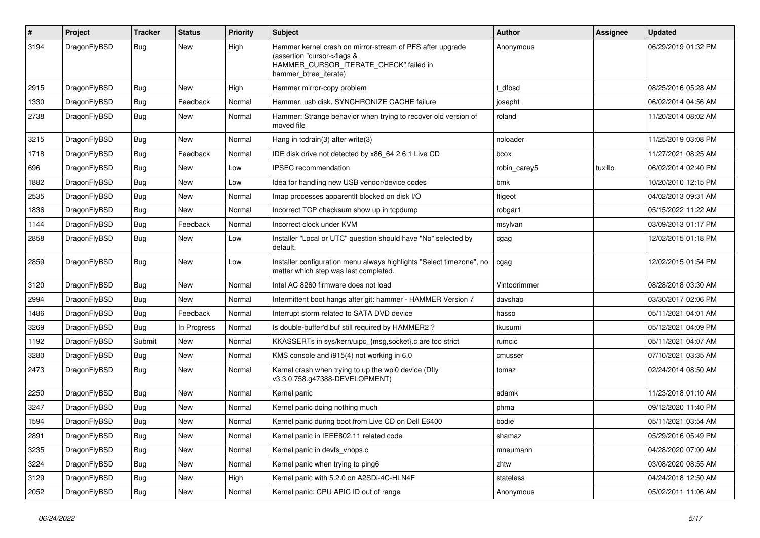| #    | Project      | <b>Tracker</b> | <b>Status</b> | <b>Priority</b> | Subject                                                                                                                                                     | Author       | Assignee | <b>Updated</b>      |
|------|--------------|----------------|---------------|-----------------|-------------------------------------------------------------------------------------------------------------------------------------------------------------|--------------|----------|---------------------|
| 3194 | DragonFlyBSD | Bug            | <b>New</b>    | High            | Hammer kernel crash on mirror-stream of PFS after upgrade<br>(assertion "cursor->flags &<br>HAMMER_CURSOR_ITERATE_CHECK" failed in<br>hammer_btree_iterate) | Anonymous    |          | 06/29/2019 01:32 PM |
| 2915 | DragonFlyBSD | Bug            | <b>New</b>    | High            | Hammer mirror-copy problem                                                                                                                                  | t dfbsd      |          | 08/25/2016 05:28 AM |
| 1330 | DragonFlyBSD | <b>Bug</b>     | Feedback      | Normal          | Hammer, usb disk, SYNCHRONIZE CACHE failure                                                                                                                 | josepht      |          | 06/02/2014 04:56 AM |
| 2738 | DragonFlyBSD | Bug            | <b>New</b>    | Normal          | Hammer: Strange behavior when trying to recover old version of<br>moved file                                                                                | roland       |          | 11/20/2014 08:02 AM |
| 3215 | DragonFlyBSD | Bug            | <b>New</b>    | Normal          | Hang in tcdrain(3) after write(3)                                                                                                                           | noloader     |          | 11/25/2019 03:08 PM |
| 1718 | DragonFlyBSD | Bug            | Feedback      | Normal          | IDE disk drive not detected by x86 64 2.6.1 Live CD                                                                                                         | bcox         |          | 11/27/2021 08:25 AM |
| 696  | DragonFlyBSD | Bug            | New           | Low             | <b>IPSEC</b> recommendation                                                                                                                                 | robin carey5 | tuxillo  | 06/02/2014 02:40 PM |
| 1882 | DragonFlyBSD | Bug            | New           | Low             | Idea for handling new USB vendor/device codes                                                                                                               | bmk          |          | 10/20/2010 12:15 PM |
| 2535 | DragonFlyBSD | Bug            | <b>New</b>    | Normal          | Imap processes apparentlt blocked on disk I/O                                                                                                               | ftigeot      |          | 04/02/2013 09:31 AM |
| 1836 | DragonFlyBSD | <b>Bug</b>     | New           | Normal          | Incorrect TCP checksum show up in tcpdump                                                                                                                   | robgar1      |          | 05/15/2022 11:22 AM |
| 1144 | DragonFlyBSD | Bug            | Feedback      | Normal          | Incorrect clock under KVM                                                                                                                                   | msylvan      |          | 03/09/2013 01:17 PM |
| 2858 | DragonFlyBSD | Bug            | <b>New</b>    | Low             | Installer "Local or UTC" question should have "No" selected by<br>default.                                                                                  | cgag         |          | 12/02/2015 01:18 PM |
| 2859 | DragonFlyBSD | Bug            | New           | Low             | Installer configuration menu always highlights "Select timezone", no<br>matter which step was last completed.                                               | cgag         |          | 12/02/2015 01:54 PM |
| 3120 | DragonFlyBSD | Bug            | <b>New</b>    | Normal          | Intel AC 8260 firmware does not load                                                                                                                        | Vintodrimmer |          | 08/28/2018 03:30 AM |
| 2994 | DragonFlyBSD | Bug            | <b>New</b>    | Normal          | Intermittent boot hangs after git: hammer - HAMMER Version 7                                                                                                | davshao      |          | 03/30/2017 02:06 PM |
| 1486 | DragonFlyBSD | <b>Bug</b>     | Feedback      | Normal          | Interrupt storm related to SATA DVD device                                                                                                                  | hasso        |          | 05/11/2021 04:01 AM |
| 3269 | DragonFlyBSD | Bug            | In Progress   | Normal          | Is double-buffer'd buf still required by HAMMER2 ?                                                                                                          | tkusumi      |          | 05/12/2021 04:09 PM |
| 1192 | DragonFlyBSD | Submit         | New           | Normal          | KKASSERTs in sys/kern/uipc {msg,socket}.c are too strict                                                                                                    | rumcic       |          | 05/11/2021 04:07 AM |
| 3280 | DragonFlyBSD | Bug            | New           | Normal          | KMS console and i915(4) not working in 6.0                                                                                                                  | cmusser      |          | 07/10/2021 03:35 AM |
| 2473 | DragonFlyBSD | <b>Bug</b>     | <b>New</b>    | Normal          | Kernel crash when trying to up the wpi0 device (Dfly<br>v3.3.0.758.g47388-DEVELOPMENT)                                                                      | tomaz        |          | 02/24/2014 08:50 AM |
| 2250 | DragonFlyBSD | Bug            | <b>New</b>    | Normal          | Kernel panic                                                                                                                                                | adamk        |          | 11/23/2018 01:10 AM |
| 3247 | DragonFlyBSD | Bug            | <b>New</b>    | Normal          | Kernel panic doing nothing much                                                                                                                             | phma         |          | 09/12/2020 11:40 PM |
| 1594 | DragonFlyBSD | Bug            | <b>New</b>    | Normal          | Kernel panic during boot from Live CD on Dell E6400                                                                                                         | bodie        |          | 05/11/2021 03:54 AM |
| 2891 | DragonFlyBSD | Bug            | <b>New</b>    | Normal          | Kernel panic in IEEE802.11 related code                                                                                                                     | shamaz       |          | 05/29/2016 05:49 PM |
| 3235 | DragonFlyBSD | Bug            | New           | Normal          | Kernel panic in devfs vnops.c                                                                                                                               | mneumann     |          | 04/28/2020 07:00 AM |
| 3224 | DragonFlyBSD | <b>Bug</b>     | New           | Normal          | Kernel panic when trying to ping6                                                                                                                           | zhtw         |          | 03/08/2020 08:55 AM |
| 3129 | DragonFlyBSD | <b>Bug</b>     | New           | High            | Kernel panic with 5.2.0 on A2SDi-4C-HLN4F                                                                                                                   | stateless    |          | 04/24/2018 12:50 AM |
| 2052 | DragonFlyBSD | Bug            | New           | Normal          | Kernel panic: CPU APIC ID out of range                                                                                                                      | Anonymous    |          | 05/02/2011 11:06 AM |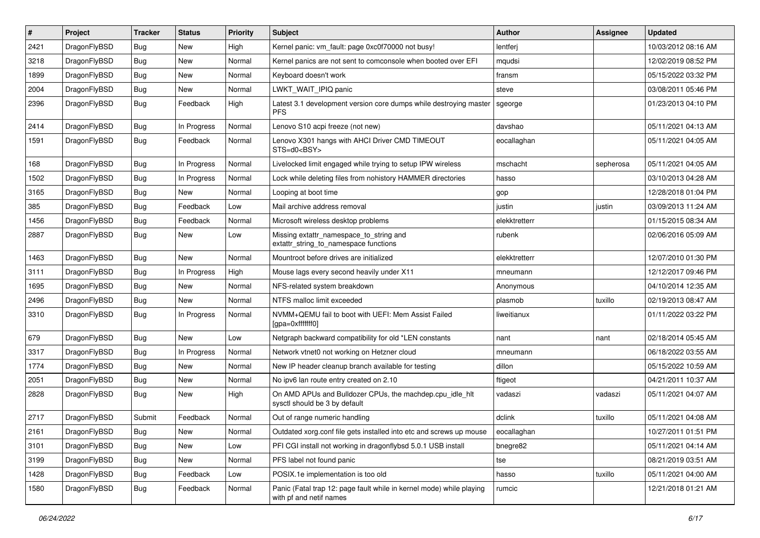| $\vert$ # | Project      | <b>Tracker</b> | <b>Status</b> | <b>Priority</b> | <b>Subject</b>                                                                                  | Author        | Assignee  | <b>Updated</b>      |
|-----------|--------------|----------------|---------------|-----------------|-------------------------------------------------------------------------------------------------|---------------|-----------|---------------------|
| 2421      | DragonFlyBSD | Bug            | <b>New</b>    | High            | Kernel panic: vm_fault: page 0xc0f70000 not busy!                                               | lentferj      |           | 10/03/2012 08:16 AM |
| 3218      | DragonFlyBSD | <b>Bug</b>     | <b>New</b>    | Normal          | Kernel panics are not sent to comconsole when booted over EFI                                   | mqudsi        |           | 12/02/2019 08:52 PM |
| 1899      | DragonFlyBSD | <b>Bug</b>     | <b>New</b>    | Normal          | Keyboard doesn't work                                                                           | fransm        |           | 05/15/2022 03:32 PM |
| 2004      | DragonFlyBSD | <b>Bug</b>     | New           | Normal          | LWKT WAIT IPIQ panic                                                                            | steve         |           | 03/08/2011 05:46 PM |
| 2396      | DragonFlyBSD | Bug            | Feedback      | High            | Latest 3.1 development version core dumps while destroying master<br><b>PFS</b>                 | sgeorge       |           | 01/23/2013 04:10 PM |
| 2414      | DragonFlyBSD | Bug            | In Progress   | Normal          | Lenovo S10 acpi freeze (not new)                                                                | davshao       |           | 05/11/2021 04:13 AM |
| 1591      | DragonFlyBSD | Bug            | Feedback      | Normal          | Lenovo X301 hangs with AHCI Driver CMD TIMEOUT<br>STS=d0 <bsy></bsy>                            | eocallaghan   |           | 05/11/2021 04:05 AM |
| 168       | DragonFlyBSD | <b>Bug</b>     | In Progress   | Normal          | Livelocked limit engaged while trying to setup IPW wireless                                     | mschacht      | sepherosa | 05/11/2021 04:05 AM |
| 1502      | DragonFlyBSD | Bug            | In Progress   | Normal          | Lock while deleting files from nohistory HAMMER directories                                     | hasso         |           | 03/10/2013 04:28 AM |
| 3165      | DragonFlyBSD | Bug            | New           | Normal          | Looping at boot time                                                                            | gop           |           | 12/28/2018 01:04 PM |
| 385       | DragonFlyBSD | Bug            | Feedback      | Low             | Mail archive address removal                                                                    | justin        | justin    | 03/09/2013 11:24 AM |
| 1456      | DragonFlyBSD | <b>Bug</b>     | Feedback      | Normal          | Microsoft wireless desktop problems                                                             | elekktretterr |           | 01/15/2015 08:34 AM |
| 2887      | DragonFlyBSD | <b>Bug</b>     | <b>New</b>    | Low             | Missing extattr_namespace_to_string and<br>extattr string to namespace functions                | rubenk        |           | 02/06/2016 05:09 AM |
| 1463      | DragonFlyBSD | Bug            | <b>New</b>    | Normal          | Mountroot before drives are initialized                                                         | elekktretterr |           | 12/07/2010 01:30 PM |
| 3111      | DragonFlyBSD | <b>Bug</b>     | In Progress   | High            | Mouse lags every second heavily under X11                                                       | mneumann      |           | 12/12/2017 09:46 PM |
| 1695      | DragonFlyBSD | <b>Bug</b>     | <b>New</b>    | Normal          | NFS-related system breakdown                                                                    | Anonymous     |           | 04/10/2014 12:35 AM |
| 2496      | DragonFlyBSD | Bug            | New           | Normal          | NTFS malloc limit exceeded                                                                      | plasmob       | tuxillo   | 02/19/2013 08:47 AM |
| 3310      | DragonFlyBSD | Bug            | In Progress   | Normal          | NVMM+QEMU fail to boot with UEFI: Mem Assist Failed<br>[gpa=0xfffffff0]                         | liweitianux   |           | 01/11/2022 03:22 PM |
| 679       | DragonFlyBSD | Bug            | <b>New</b>    | Low             | Netgraph backward compatibility for old *LEN constants                                          | nant          | nant      | 02/18/2014 05:45 AM |
| 3317      | DragonFlyBSD | Bug            | In Progress   | Normal          | Network vtnet0 not working on Hetzner cloud                                                     | mneumann      |           | 06/18/2022 03:55 AM |
| 1774      | DragonFlyBSD | Bug            | <b>New</b>    | Normal          | New IP header cleanup branch available for testing                                              | dillon        |           | 05/15/2022 10:59 AM |
| 2051      | DragonFlyBSD | Bug            | <b>New</b>    | Normal          | No ipv6 lan route entry created on 2.10                                                         | ftigeot       |           | 04/21/2011 10:37 AM |
| 2828      | DragonFlyBSD | <b>Bug</b>     | <b>New</b>    | High            | On AMD APUs and Bulldozer CPUs, the machdep.cpu idle hlt<br>sysctl should be 3 by default       | vadaszi       | vadaszi   | 05/11/2021 04:07 AM |
| 2717      | DragonFlyBSD | Submit         | Feedback      | Normal          | Out of range numeric handling                                                                   | dclink        | tuxillo   | 05/11/2021 04:08 AM |
| 2161      | DragonFlyBSD | Bug            | New           | Normal          | Outdated xorg.conf file gets installed into etc and screws up mouse                             | eocallaghan   |           | 10/27/2011 01:51 PM |
| 3101      | DragonFlyBSD | <b>Bug</b>     | <b>New</b>    | Low             | PFI CGI install not working in dragonflybsd 5.0.1 USB install                                   | bnegre82      |           | 05/11/2021 04:14 AM |
| 3199      | DragonFlyBSD | <b>Bug</b>     | New           | Normal          | PFS label not found panic                                                                       | tse           |           | 08/21/2019 03:51 AM |
| 1428      | DragonFlyBSD | <b>Bug</b>     | Feedback      | Low             | POSIX.1e implementation is too old                                                              | hasso         | tuxillo   | 05/11/2021 04:00 AM |
| 1580      | DragonFlyBSD | <b>Bug</b>     | Feedback      | Normal          | Panic (Fatal trap 12: page fault while in kernel mode) while playing<br>with pf and netif names | rumcic        |           | 12/21/2018 01:21 AM |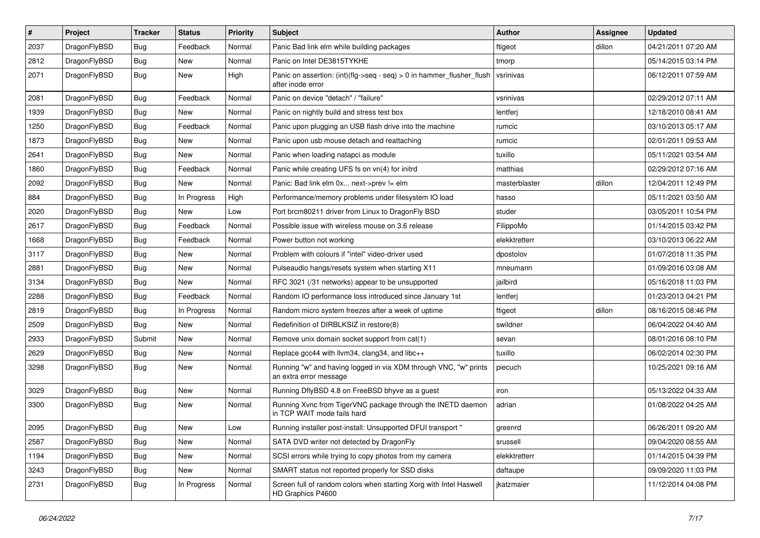| $\pmb{\#}$ | Project      | <b>Tracker</b> | <b>Status</b> | <b>Priority</b> | Subject                                                                                    | <b>Author</b> | <b>Assignee</b> | <b>Updated</b>      |
|------------|--------------|----------------|---------------|-----------------|--------------------------------------------------------------------------------------------|---------------|-----------------|---------------------|
| 2037       | DragonFlyBSD | Bug            | Feedback      | Normal          | Panic Bad link elm while building packages                                                 | ftigeot       | dillon          | 04/21/2011 07:20 AM |
| 2812       | DragonFlyBSD | Bug            | <b>New</b>    | Normal          | Panic on Intel DE3815TYKHE                                                                 | tmorp         |                 | 05/14/2015 03:14 PM |
| 2071       | DragonFlyBSD | Bug            | New           | High            | Panic on assertion: (int)(flg->seq - seq) > 0 in hammer_flusher_flush<br>after inode error | vsrinivas     |                 | 06/12/2011 07:59 AM |
| 2081       | DragonFlyBSD | Bug            | Feedback      | Normal          | Panic on device "detach" / "failure"                                                       | vsrinivas     |                 | 02/29/2012 07:11 AM |
| 1939       | DragonFlyBSD | <b>Bug</b>     | New           | Normal          | Panic on nightly build and stress test box                                                 | lentferj      |                 | 12/18/2010 08:41 AM |
| 1250       | DragonFlyBSD | Bug            | Feedback      | Normal          | Panic upon plugging an USB flash drive into the machine                                    | rumcic        |                 | 03/10/2013 05:17 AM |
| 1873       | DragonFlyBSD | Bug            | New           | Normal          | Panic upon usb mouse detach and reattaching                                                | rumcic        |                 | 02/01/2011 09:53 AM |
| 2641       | DragonFlyBSD | Bug            | New           | Normal          | Panic when loading natapci as module                                                       | tuxillo       |                 | 05/11/2021 03:54 AM |
| 1860       | DragonFlyBSD | Bug            | Feedback      | Normal          | Panic while creating UFS fs on vn(4) for initrd                                            | matthias      |                 | 02/29/2012 07:16 AM |
| 2092       | DragonFlyBSD | Bug            | New           | Normal          | Panic: Bad link elm 0x next->prev != elm                                                   | masterblaster | dillon          | 12/04/2011 12:49 PM |
| 884        | DragonFlyBSD | Bug            | In Progress   | High            | Performance/memory problems under filesystem IO load                                       | hasso         |                 | 05/11/2021 03:50 AM |
| 2020       | DragonFlyBSD | Bug            | New           | Low             | Port brcm80211 driver from Linux to DragonFly BSD                                          | studer        |                 | 03/05/2011 10:54 PM |
| 2617       | DragonFlyBSD | Bug            | Feedback      | Normal          | Possible issue with wireless mouse on 3.6 release                                          | FilippoMo     |                 | 01/14/2015 03:42 PM |
| 1668       | DragonFlyBSD | Bug            | Feedback      | Normal          | Power button not working                                                                   | elekktretterr |                 | 03/10/2013 06:22 AM |
| 3117       | DragonFlyBSD | Bug            | New           | Normal          | Problem with colours if "intel" video-driver used                                          | dpostolov     |                 | 01/07/2018 11:35 PM |
| 2881       | DragonFlyBSD | Bug            | <b>New</b>    | Normal          | Pulseaudio hangs/resets system when starting X11                                           | mneumann      |                 | 01/09/2016 03:08 AM |
| 3134       | DragonFlyBSD | Bug            | New           | Normal          | RFC 3021 (/31 networks) appear to be unsupported                                           | jailbird      |                 | 05/16/2018 11:03 PM |
| 2288       | DragonFlyBSD | Bug            | Feedback      | Normal          | Random IO performance loss introduced since January 1st                                    | lentferj      |                 | 01/23/2013 04:21 PM |
| 2819       | DragonFlyBSD | Bug            | In Progress   | Normal          | Random micro system freezes after a week of uptime                                         | ftigeot       | dillon          | 08/16/2015 08:46 PM |
| 2509       | DragonFlyBSD | Bug            | New           | Normal          | Redefinition of DIRBLKSIZ in restore(8)                                                    | swildner      |                 | 06/04/2022 04:40 AM |
| 2933       | DragonFlyBSD | Submit         | <b>New</b>    | Normal          | Remove unix domain socket support from cat(1)                                              | sevan         |                 | 08/01/2016 08:10 PM |
| 2629       | DragonFlyBSD | Bug            | <b>New</b>    | Normal          | Replace gcc44 with llvm34, clang34, and libc++                                             | tuxillo       |                 | 06/02/2014 02:30 PM |
| 3298       | DragonFlyBSD | Bug            | New           | Normal          | Running "w" and having logged in via XDM through VNC, "w" prints<br>an extra error message | piecuch       |                 | 10/25/2021 09:16 AM |
| 3029       | DragonFlyBSD | Bug            | <b>New</b>    | Normal          | Running DflyBSD 4.8 on FreeBSD bhyve as a guest                                            | iron          |                 | 05/13/2022 04:33 AM |
| 3300       | DragonFlyBSD | Bug            | <b>New</b>    | Normal          | Running Xvnc from TigerVNC package through the INETD daemon<br>in TCP WAIT mode fails hard | adrian        |                 | 01/08/2022 04:25 AM |
| 2095       | DragonFlyBSD | Bug            | <b>New</b>    | Low             | Running installer post-install: Unsupported DFUI transport"                                | greenrd       |                 | 06/26/2011 09:20 AM |
| 2587       | DragonFlyBSD | <b>Bug</b>     | New           | Normal          | SATA DVD writer not detected by DragonFly                                                  | srussell      |                 | 09/04/2020 08:55 AM |
| 1194       | DragonFlyBSD | Bug            | New           | Normal          | SCSI errors while trying to copy photos from my camera                                     | elekktretterr |                 | 01/14/2015 04:39 PM |
| 3243       | DragonFlyBSD | Bug            | New           | Normal          | SMART status not reported properly for SSD disks                                           | daftaupe      |                 | 09/09/2020 11:03 PM |
| 2731       | DragonFlyBSD | Bug            | In Progress   | Normal          | Screen full of random colors when starting Xorg with Intel Haswell<br>HD Graphics P4600    | jkatzmaier    |                 | 11/12/2014 04:08 PM |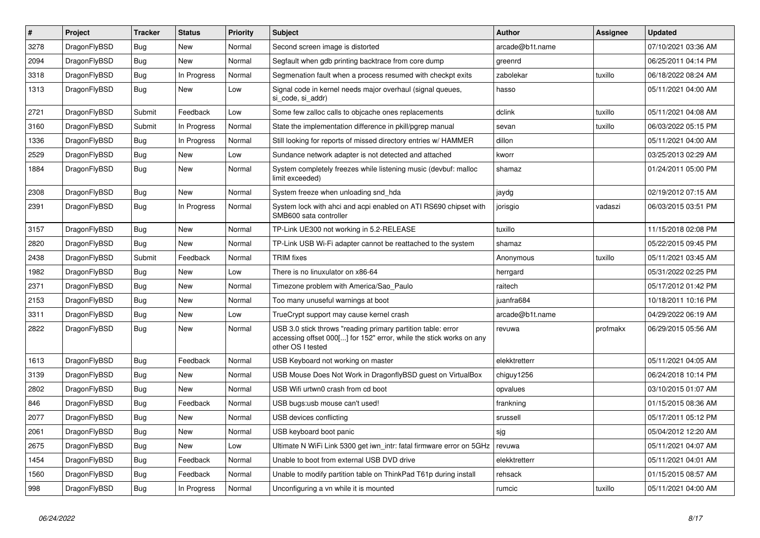| $\#$ | <b>Project</b> | <b>Tracker</b> | <b>Status</b> | <b>Priority</b> | <b>Subject</b>                                                                                                                                           | <b>Author</b>   | Assignee | <b>Updated</b>      |
|------|----------------|----------------|---------------|-----------------|----------------------------------------------------------------------------------------------------------------------------------------------------------|-----------------|----------|---------------------|
| 3278 | DragonFlyBSD   | Bug            | <b>New</b>    | Normal          | Second screen image is distorted                                                                                                                         | arcade@b1t.name |          | 07/10/2021 03:36 AM |
| 2094 | DragonFlyBSD   | <b>Bug</b>     | <b>New</b>    | Normal          | Segfault when gdb printing backtrace from core dump                                                                                                      | greenrd         |          | 06/25/2011 04:14 PM |
| 3318 | DragonFlyBSD   | Bug            | In Progress   | Normal          | Segmenation fault when a process resumed with checkpt exits                                                                                              | zabolekar       | tuxillo  | 06/18/2022 08:24 AM |
| 1313 | DragonFlyBSD   | Bug            | New           | Low             | Signal code in kernel needs major overhaul (signal queues,<br>si code, si addr)                                                                          | hasso           |          | 05/11/2021 04:00 AM |
| 2721 | DragonFlyBSD   | Submit         | Feedback      | Low             | Some few zalloc calls to objcache ones replacements                                                                                                      | dclink          | tuxillo  | 05/11/2021 04:08 AM |
| 3160 | DragonFlyBSD   | Submit         | In Progress   | Normal          | State the implementation difference in pkill/pgrep manual                                                                                                | sevan           | tuxillo  | 06/03/2022 05:15 PM |
| 1336 | DragonFlyBSD   | Bug            | In Progress   | Normal          | Still looking for reports of missed directory entries w/ HAMMER                                                                                          | dillon          |          | 05/11/2021 04:00 AM |
| 2529 | DragonFlyBSD   | <b>Bug</b>     | <b>New</b>    | Low             | Sundance network adapter is not detected and attached                                                                                                    | kworr           |          | 03/25/2013 02:29 AM |
| 1884 | DragonFlyBSD   | Bug            | New           | Normal          | System completely freezes while listening music (devbuf: malloc<br>limit exceeded)                                                                       | shamaz          |          | 01/24/2011 05:00 PM |
| 2308 | DragonFlyBSD   | Bug            | <b>New</b>    | Normal          | System freeze when unloading snd hda                                                                                                                     | jaydg           |          | 02/19/2012 07:15 AM |
| 2391 | DragonFlyBSD   | <b>Bug</b>     | In Progress   | Normal          | System lock with ahci and acpi enabled on ATI RS690 chipset with<br>SMB600 sata controller                                                               | jorisgio        | vadaszi  | 06/03/2015 03:51 PM |
| 3157 | DragonFlyBSD   | Bug            | New           | Normal          | TP-Link UE300 not working in 5.2-RELEASE                                                                                                                 | tuxillo         |          | 11/15/2018 02:08 PM |
| 2820 | DragonFlyBSD   | <b>Bug</b>     | <b>New</b>    | Normal          | TP-Link USB Wi-Fi adapter cannot be reattached to the system                                                                                             | shamaz          |          | 05/22/2015 09:45 PM |
| 2438 | DragonFlyBSD   | Submit         | Feedback      | Normal          | <b>TRIM</b> fixes                                                                                                                                        | Anonymous       | tuxillo  | 05/11/2021 03:45 AM |
| 1982 | DragonFlyBSD   | Bug            | <b>New</b>    | Low             | There is no linuxulator on x86-64                                                                                                                        | herrgard        |          | 05/31/2022 02:25 PM |
| 2371 | DragonFlyBSD   | <b>Bug</b>     | <b>New</b>    | Normal          | Timezone problem with America/Sao Paulo                                                                                                                  | raitech         |          | 05/17/2012 01:42 PM |
| 2153 | DragonFlyBSD   | Bug            | <b>New</b>    | Normal          | Too many unuseful warnings at boot                                                                                                                       | juanfra684      |          | 10/18/2011 10:16 PM |
| 3311 | DragonFlyBSD   | <b>Bug</b>     | <b>New</b>    | Low             | TrueCrypt support may cause kernel crash                                                                                                                 | arcade@b1t.name |          | 04/29/2022 06:19 AM |
| 2822 | DragonFlyBSD   | Bug            | <b>New</b>    | Normal          | USB 3.0 stick throws "reading primary partition table: error<br>accessing offset 000[] for 152" error, while the stick works on any<br>other OS I tested | revuwa          | profmakx | 06/29/2015 05:56 AM |
| 1613 | DragonFlyBSD   | Bug            | Feedback      | Normal          | USB Keyboard not working on master                                                                                                                       | elekktretterr   |          | 05/11/2021 04:05 AM |
| 3139 | DragonFlyBSD   | Bug            | <b>New</b>    | Normal          | USB Mouse Does Not Work in DragonflyBSD guest on VirtualBox                                                                                              | chiguy1256      |          | 06/24/2018 10:14 PM |
| 2802 | DragonFlyBSD   | <b>Bug</b>     | <b>New</b>    | Normal          | USB Wifi urtwn0 crash from cd boot                                                                                                                       | opvalues        |          | 03/10/2015 01:07 AM |
| 846  | DragonFlyBSD   | <b>Bug</b>     | Feedback      | Normal          | USB bugs:usb mouse can't used!                                                                                                                           | frankning       |          | 01/15/2015 08:36 AM |
| 2077 | DragonFlyBSD   | <b>Bug</b>     | <b>New</b>    | Normal          | USB devices conflicting                                                                                                                                  | srussell        |          | 05/17/2011 05:12 PM |
| 2061 | DragonFlyBSD   | Bug            | <b>New</b>    | Normal          | USB keyboard boot panic                                                                                                                                  | sjg             |          | 05/04/2012 12:20 AM |
| 2675 | DragonFlyBSD   | <b>Bug</b>     | New           | Low             | Ultimate N WiFi Link 5300 get iwn intr: fatal firmware error on 5GHz                                                                                     | revuwa          |          | 05/11/2021 04:07 AM |
| 1454 | DragonFlyBSD   | Bug            | Feedback      | Normal          | Unable to boot from external USB DVD drive                                                                                                               | elekktretterr   |          | 05/11/2021 04:01 AM |
| 1560 | DragonFlyBSD   | <b>Bug</b>     | Feedback      | Normal          | Unable to modify partition table on ThinkPad T61p during install                                                                                         | rehsack         |          | 01/15/2015 08:57 AM |
| 998  | DragonFlyBSD   | Bug            | In Progress   | Normal          | Unconfiguring a vn while it is mounted                                                                                                                   | rumcic          | tuxillo  | 05/11/2021 04:00 AM |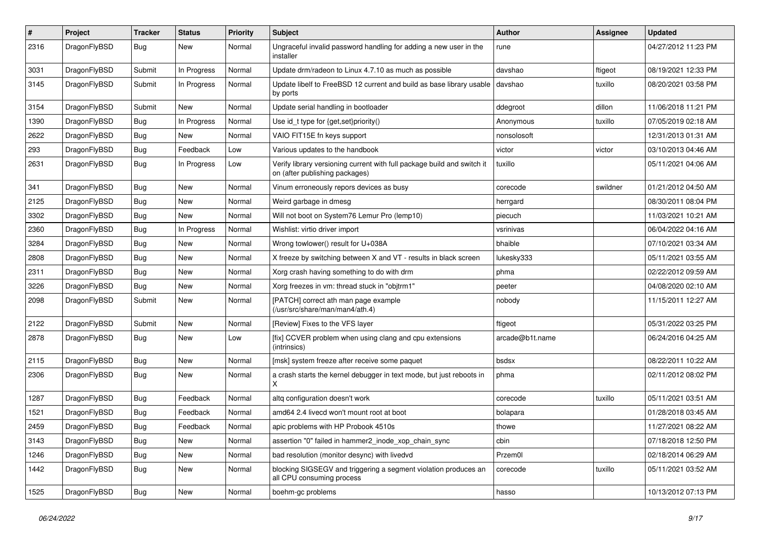| $\sharp$ | Project      | <b>Tracker</b> | <b>Status</b> | <b>Priority</b> | Subject                                                                                                   | Author          | <b>Assignee</b> | <b>Updated</b>      |
|----------|--------------|----------------|---------------|-----------------|-----------------------------------------------------------------------------------------------------------|-----------------|-----------------|---------------------|
| 2316     | DragonFlyBSD | Bug            | New           | Normal          | Ungraceful invalid password handling for adding a new user in the<br>installer                            | rune            |                 | 04/27/2012 11:23 PM |
| 3031     | DragonFlyBSD | Submit         | In Progress   | Normal          | Update drm/radeon to Linux 4.7.10 as much as possible                                                     | davshao         | ftigeot         | 08/19/2021 12:33 PM |
| 3145     | DragonFlyBSD | Submit         | In Progress   | Normal          | Update libelf to FreeBSD 12 current and build as base library usable<br>by ports                          | davshao         | tuxillo         | 08/20/2021 03:58 PM |
| 3154     | DragonFlyBSD | Submit         | <b>New</b>    | Normal          | Update serial handling in bootloader                                                                      | ddegroot        | dillon          | 11/06/2018 11:21 PM |
| 1390     | DragonFlyBSD | Bug            | In Progress   | Normal          | Use id_t type for {get,set}priority()                                                                     | Anonymous       | tuxillo         | 07/05/2019 02:18 AM |
| 2622     | DragonFlyBSD | Bug            | New           | Normal          | VAIO FIT15E fn keys support                                                                               | nonsolosoft     |                 | 12/31/2013 01:31 AM |
| 293      | DragonFlyBSD | <b>Bug</b>     | Feedback      | Low             | Various updates to the handbook                                                                           | victor          | victor          | 03/10/2013 04:46 AM |
| 2631     | DragonFlyBSD | <b>Bug</b>     | In Progress   | Low             | Verify library versioning current with full package build and switch it<br>on (after publishing packages) | tuxillo         |                 | 05/11/2021 04:06 AM |
| 341      | DragonFlyBSD | Bug            | <b>New</b>    | Normal          | Vinum erroneously repors devices as busy                                                                  | corecode        | swildner        | 01/21/2012 04:50 AM |
| 2125     | DragonFlyBSD | Bug            | <b>New</b>    | Normal          | Weird garbage in dmesg                                                                                    | herrgard        |                 | 08/30/2011 08:04 PM |
| 3302     | DragonFlyBSD | <b>Bug</b>     | New           | Normal          | Will not boot on System76 Lemur Pro (lemp10)                                                              | piecuch         |                 | 11/03/2021 10:21 AM |
| 2360     | DragonFlyBSD | Bug            | In Progress   | Normal          | Wishlist: virtio driver import                                                                            | vsrinivas       |                 | 06/04/2022 04:16 AM |
| 3284     | DragonFlyBSD | Bug            | New           | Normal          | Wrong towlower() result for U+038A                                                                        | bhaible         |                 | 07/10/2021 03:34 AM |
| 2808     | DragonFlyBSD | <b>Bug</b>     | <b>New</b>    | Normal          | X freeze by switching between X and VT - results in black screen                                          | lukesky333      |                 | 05/11/2021 03:55 AM |
| 2311     | DragonFlyBSD | Bug            | <b>New</b>    | Normal          | Xorg crash having something to do with drm                                                                | phma            |                 | 02/22/2012 09:59 AM |
| 3226     | DragonFlyBSD | Bug            | <b>New</b>    | Normal          | Xorg freezes in vm: thread stuck in "objtrm1"                                                             | peeter          |                 | 04/08/2020 02:10 AM |
| 2098     | DragonFlyBSD | Submit         | <b>New</b>    | Normal          | [PATCH] correct ath man page example<br>(/usr/src/share/man/man4/ath.4)                                   | nobody          |                 | 11/15/2011 12:27 AM |
| 2122     | DragonFlyBSD | Submit         | <b>New</b>    | Normal          | [Review] Fixes to the VFS layer                                                                           | ftigeot         |                 | 05/31/2022 03:25 PM |
| 2878     | DragonFlyBSD | Bug            | <b>New</b>    | Low             | [fix] CCVER problem when using clang and cpu extensions<br>(intrinsics)                                   | arcade@b1t.name |                 | 06/24/2016 04:25 AM |
| 2115     | DragonFlyBSD | Bug            | <b>New</b>    | Normal          | [msk] system freeze after receive some paquet                                                             | bsdsx           |                 | 08/22/2011 10:22 AM |
| 2306     | DragonFlyBSD | Bug            | <b>New</b>    | Normal          | a crash starts the kernel debugger in text mode, but just reboots in<br>X                                 | phma            |                 | 02/11/2012 08:02 PM |
| 1287     | DragonFlyBSD | Bug            | Feedback      | Normal          | altq configuration doesn't work                                                                           | corecode        | tuxillo         | 05/11/2021 03:51 AM |
| 1521     | DragonFlyBSD | Bug            | Feedback      | Normal          | amd64 2.4 livecd won't mount root at boot                                                                 | bolapara        |                 | 01/28/2018 03:45 AM |
| 2459     | DragonFlyBSD | Bug            | Feedback      | Normal          | apic problems with HP Probook 4510s                                                                       | thowe           |                 | 11/27/2021 08:22 AM |
| 3143     | DragonFlyBSD | Bug            | New           | Normal          | assertion "0" failed in hammer2_inode_xop_chain_sync                                                      | cbin            |                 | 07/18/2018 12:50 PM |
| 1246     | DragonFlyBSD | Bug            | New           | Normal          | bad resolution (monitor desync) with livedvd                                                              | Przem0l         |                 | 02/18/2014 06:29 AM |
| 1442     | DragonFlyBSD | <b>Bug</b>     | New           | Normal          | blocking SIGSEGV and triggering a segment violation produces an<br>all CPU consuming process              | corecode        | tuxillo         | 05/11/2021 03:52 AM |
| 1525     | DragonFlyBSD | <b>Bug</b>     | New           | Normal          | boehm-gc problems                                                                                         | hasso           |                 | 10/13/2012 07:13 PM |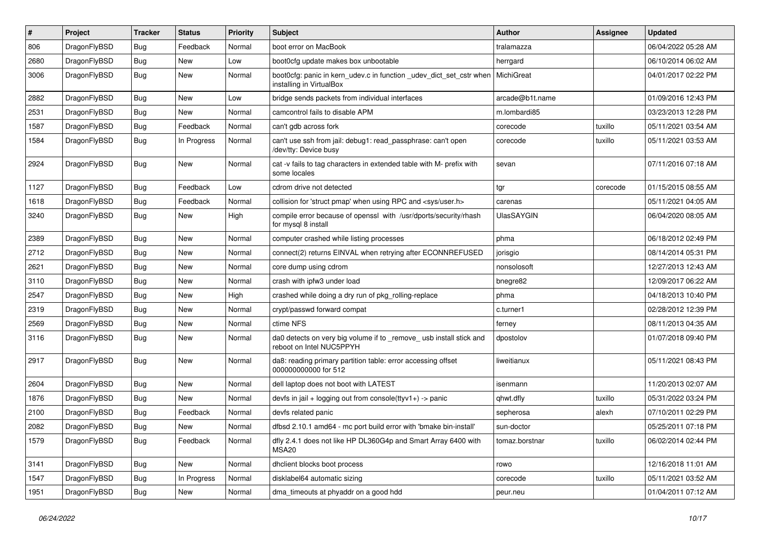| $\sharp$ | Project      | <b>Tracker</b> | <b>Status</b> | <b>Priority</b> | Subject                                                                                         | <b>Author</b>     | Assignee | <b>Updated</b>      |
|----------|--------------|----------------|---------------|-----------------|-------------------------------------------------------------------------------------------------|-------------------|----------|---------------------|
| 806      | DragonFlyBSD | <b>Bug</b>     | Feedback      | Normal          | boot error on MacBook                                                                           | tralamazza        |          | 06/04/2022 05:28 AM |
| 2680     | DragonFlyBSD | Bug            | <b>New</b>    | Low             | boot0cfg update makes box unbootable                                                            | herrgard          |          | 06/10/2014 06:02 AM |
| 3006     | DragonFlyBSD | Bug            | <b>New</b>    | Normal          | boot0cfg: panic in kern_udev.c in function _udev_dict_set_cstr when<br>installing in VirtualBox | MichiGreat        |          | 04/01/2017 02:22 PM |
| 2882     | DragonFlyBSD | Bug            | <b>New</b>    | Low             | bridge sends packets from individual interfaces                                                 | arcade@b1t.name   |          | 01/09/2016 12:43 PM |
| 2531     | DragonFlyBSD | <b>Bug</b>     | <b>New</b>    | Normal          | camcontrol fails to disable APM                                                                 | m.lombardi85      |          | 03/23/2013 12:28 PM |
| 1587     | DragonFlyBSD | Bug            | Feedback      | Normal          | can't gdb across fork                                                                           | corecode          | tuxillo  | 05/11/2021 03:54 AM |
| 1584     | DragonFlyBSD | Bug            | In Progress   | Normal          | can't use ssh from jail: debug1: read_passphrase: can't open<br>/dev/tty: Device busy           | corecode          | tuxillo  | 05/11/2021 03:53 AM |
| 2924     | DragonFlyBSD | <b>Bug</b>     | <b>New</b>    | Normal          | cat -v fails to tag characters in extended table with M- prefix with<br>some locales            | sevan             |          | 07/11/2016 07:18 AM |
| 1127     | DragonFlyBSD | Bug            | Feedback      | Low             | cdrom drive not detected                                                                        | tgr               | corecode | 01/15/2015 08:55 AM |
| 1618     | DragonFlyBSD | Bug            | Feedback      | Normal          | collision for 'struct pmap' when using RPC and <sys user.h=""></sys>                            | carenas           |          | 05/11/2021 04:05 AM |
| 3240     | DragonFlyBSD | <b>Bug</b>     | <b>New</b>    | High            | compile error because of openssl with /usr/dports/security/rhash<br>for mysql 8 install         | <b>UlasSAYGIN</b> |          | 06/04/2020 08:05 AM |
| 2389     | DragonFlyBSD | Bug            | <b>New</b>    | Normal          | computer crashed while listing processes                                                        | phma              |          | 06/18/2012 02:49 PM |
| 2712     | DragonFlyBSD | Bug            | <b>New</b>    | Normal          | connect(2) returns EINVAL when retrying after ECONNREFUSED                                      | jorisgio          |          | 08/14/2014 05:31 PM |
| 2621     | DragonFlyBSD | Bug            | <b>New</b>    | Normal          | core dump using cdrom                                                                           | nonsolosoft       |          | 12/27/2013 12:43 AM |
| 3110     | DragonFlyBSD | <b>Bug</b>     | New           | Normal          | crash with ipfw3 under load                                                                     | bnegre82          |          | 12/09/2017 06:22 AM |
| 2547     | DragonFlyBSD | <b>Bug</b>     | New           | High            | crashed while doing a dry run of pkg rolling-replace                                            | phma              |          | 04/18/2013 10:40 PM |
| 2319     | DragonFlyBSD | Bug            | <b>New</b>    | Normal          | crypt/passwd forward compat                                                                     | c.turner1         |          | 02/28/2012 12:39 PM |
| 2569     | DragonFlyBSD | <b>Bug</b>     | <b>New</b>    | Normal          | ctime NFS                                                                                       | ferney            |          | 08/11/2013 04:35 AM |
| 3116     | DragonFlyBSD | Bug            | New           | Normal          | da0 detects on very big volume if to _remove_ usb install stick and<br>reboot on Intel NUC5PPYH | dpostolov         |          | 01/07/2018 09:40 PM |
| 2917     | DragonFlyBSD | Bug            | <b>New</b>    | Normal          | da8: reading primary partition table: error accessing offset<br>000000000000 for 512            | liweitianux       |          | 05/11/2021 08:43 PM |
| 2604     | DragonFlyBSD | Bug            | New           | Normal          | dell laptop does not boot with LATEST                                                           | isenmann          |          | 11/20/2013 02:07 AM |
| 1876     | DragonFlyBSD | <b>Bug</b>     | New           | Normal          | devfs in jail + logging out from console(ttyv1+) -> panic                                       | qhwt.dfly         | tuxillo  | 05/31/2022 03:24 PM |
| 2100     | DragonFlyBSD | Bug            | Feedback      | Normal          | devfs related panic                                                                             | sepherosa         | alexh    | 07/10/2011 02:29 PM |
| 2082     | DragonFlvBSD | Bug            | <b>New</b>    | Normal          | dfbsd 2.10.1 amd64 - mc port build error with 'bmake bin-install'                               | sun-doctor        |          | 05/25/2011 07:18 PM |
| 1579     | DragonFlyBSD | <b>Bug</b>     | Feedback      | Normal          | dfly 2.4.1 does not like HP DL360G4p and Smart Array 6400 with<br>MSA20                         | tomaz.borstnar    | tuxillo  | 06/02/2014 02:44 PM |
| 3141     | DragonFlyBSD | <b>Bug</b>     | New           | Normal          | dhclient blocks boot process                                                                    | rowo              |          | 12/16/2018 11:01 AM |
| 1547     | DragonFlyBSD | <b>Bug</b>     | In Progress   | Normal          | disklabel64 automatic sizing                                                                    | corecode          | tuxillo  | 05/11/2021 03:52 AM |
| 1951     | DragonFlyBSD | <b>Bug</b>     | New           | Normal          | dma_timeouts at phyaddr on a good hdd                                                           | peur.neu          |          | 01/04/2011 07:12 AM |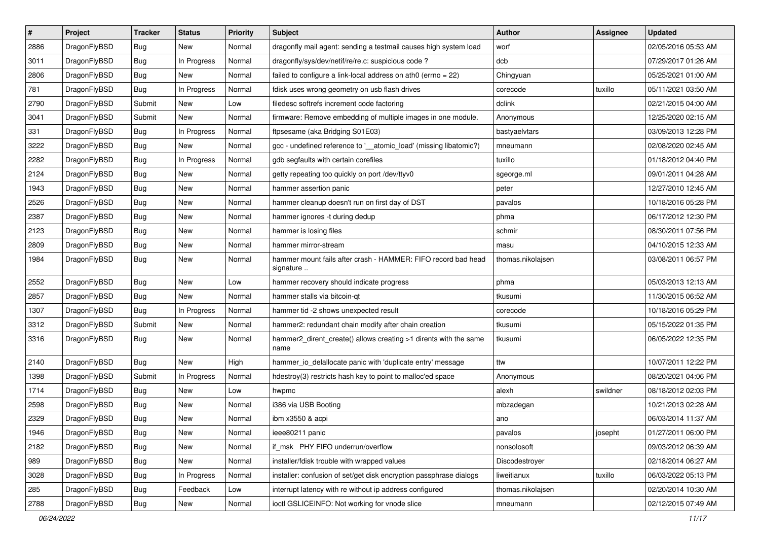| $\sharp$ | Project      | <b>Tracker</b> | <b>Status</b> | <b>Priority</b> | Subject                                                                    | <b>Author</b>     | <b>Assignee</b> | <b>Updated</b>      |
|----------|--------------|----------------|---------------|-----------------|----------------------------------------------------------------------------|-------------------|-----------------|---------------------|
| 2886     | DragonFlyBSD | Bug            | New           | Normal          | dragonfly mail agent: sending a testmail causes high system load           | worf              |                 | 02/05/2016 05:53 AM |
| 3011     | DragonFlyBSD | Bug            | In Progress   | Normal          | dragonfly/sys/dev/netif/re/re.c: suspicious code?                          | dcb               |                 | 07/29/2017 01:26 AM |
| 2806     | DragonFlyBSD | Bug            | New           | Normal          | failed to configure a link-local address on ath0 (errno = 22)              | Chingyuan         |                 | 05/25/2021 01:00 AM |
| 781      | DragonFlyBSD | Bug            | In Progress   | Normal          | fdisk uses wrong geometry on usb flash drives                              | corecode          | tuxillo         | 05/11/2021 03:50 AM |
| 2790     | DragonFlyBSD | Submit         | New           | Low             | filedesc softrefs increment code factoring                                 | dclink            |                 | 02/21/2015 04:00 AM |
| 3041     | DragonFlyBSD | Submit         | New           | Normal          | firmware: Remove embedding of multiple images in one module.               | Anonymous         |                 | 12/25/2020 02:15 AM |
| 331      | DragonFlyBSD | Bug            | In Progress   | Normal          | ftpsesame (aka Bridging S01E03)                                            | bastyaelvtars     |                 | 03/09/2013 12:28 PM |
| 3222     | DragonFlyBSD | Bug            | <b>New</b>    | Normal          | gcc - undefined reference to '__atomic_load' (missing libatomic?)          | mneumann          |                 | 02/08/2020 02:45 AM |
| 2282     | DragonFlyBSD | <b>Bug</b>     | In Progress   | Normal          | gdb segfaults with certain corefiles                                       | tuxillo           |                 | 01/18/2012 04:40 PM |
| 2124     | DragonFlyBSD | Bug            | <b>New</b>    | Normal          | getty repeating too quickly on port /dev/ttyv0                             | sgeorge.ml        |                 | 09/01/2011 04:28 AM |
| 1943     | DragonFlyBSD | <b>Bug</b>     | New           | Normal          | hammer assertion panic                                                     | peter             |                 | 12/27/2010 12:45 AM |
| 2526     | DragonFlyBSD | <b>Bug</b>     | New           | Normal          | hammer cleanup doesn't run on first day of DST                             | pavalos           |                 | 10/18/2016 05:28 PM |
| 2387     | DragonFlyBSD | <b>Bug</b>     | <b>New</b>    | Normal          | hammer ignores -t during dedup                                             | phma              |                 | 06/17/2012 12:30 PM |
| 2123     | DragonFlyBSD | <b>Bug</b>     | <b>New</b>    | Normal          | hammer is losing files                                                     | schmir            |                 | 08/30/2011 07:56 PM |
| 2809     | DragonFlyBSD | <b>Bug</b>     | <b>New</b>    | Normal          | hammer mirror-stream                                                       | masu              |                 | 04/10/2015 12:33 AM |
| 1984     | DragonFlyBSD | Bug            | New           | Normal          | hammer mount fails after crash - HAMMER: FIFO record bad head<br>signature | thomas.nikolajsen |                 | 03/08/2011 06:57 PM |
| 2552     | DragonFlyBSD | Bug            | <b>New</b>    | Low             | hammer recovery should indicate progress                                   | phma              |                 | 05/03/2013 12:13 AM |
| 2857     | DragonFlyBSD | <b>Bug</b>     | New           | Normal          | hammer stalls via bitcoin-qt                                               | tkusumi           |                 | 11/30/2015 06:52 AM |
| 1307     | DragonFlyBSD | Bug            | In Progress   | Normal          | hammer tid -2 shows unexpected result                                      | corecode          |                 | 10/18/2016 05:29 PM |
| 3312     | DragonFlyBSD | Submit         | New           | Normal          | hammer2: redundant chain modify after chain creation                       | tkusumi           |                 | 05/15/2022 01:35 PM |
| 3316     | DragonFlyBSD | Bug            | <b>New</b>    | Normal          | hammer2_dirent_create() allows creating >1 dirents with the same<br>name   | tkusumi           |                 | 06/05/2022 12:35 PM |
| 2140     | DragonFlyBSD | Bug            | New           | High            | hammer_io_delallocate panic with 'duplicate entry' message                 | ttw               |                 | 10/07/2011 12:22 PM |
| 1398     | DragonFlyBSD | Submit         | In Progress   | Normal          | hdestroy(3) restricts hash key to point to malloc'ed space                 | Anonymous         |                 | 08/20/2021 04:06 PM |
| 1714     | DragonFlyBSD | Bug            | <b>New</b>    | Low             | hwpmc                                                                      | alexh             | swildner        | 08/18/2012 02:03 PM |
| 2598     | DragonFlyBSD | <b>Bug</b>     | <b>New</b>    | Normal          | i386 via USB Booting                                                       | mbzadegan         |                 | 10/21/2013 02:28 AM |
| 2329     | DragonFlyBSD | Bug            | New           | Normal          | ibm x3550 & acpi                                                           | ano               |                 | 06/03/2014 11:37 AM |
| 1946     | DragonFlyBSD | <b>Bug</b>     | New           | Normal          | ieee80211 panic                                                            | pavalos           | josepht         | 01/27/2011 06:00 PM |
| 2182     | DragonFlyBSD | <b>Bug</b>     | <b>New</b>    | Normal          | if_msk PHY FIFO underrun/overflow                                          | nonsolosoft       |                 | 09/03/2012 06:39 AM |
| 989      | DragonFlyBSD | Bug            | New           | Normal          | installer/fdisk trouble with wrapped values                                | Discodestroyer    |                 | 02/18/2014 06:27 AM |
| 3028     | DragonFlyBSD | <b>Bug</b>     | In Progress   | Normal          | installer: confusion of set/get disk encryption passphrase dialogs         | liweitianux       | tuxillo         | 06/03/2022 05:13 PM |
| 285      | DragonFlyBSD | <b>Bug</b>     | Feedback      | Low             | interrupt latency with re without ip address configured                    | thomas.nikolajsen |                 | 02/20/2014 10:30 AM |
| 2788     | DragonFlyBSD | Bug            | New           | Normal          | ioctl GSLICEINFO: Not working for vnode slice                              | mneumann          |                 | 02/12/2015 07:49 AM |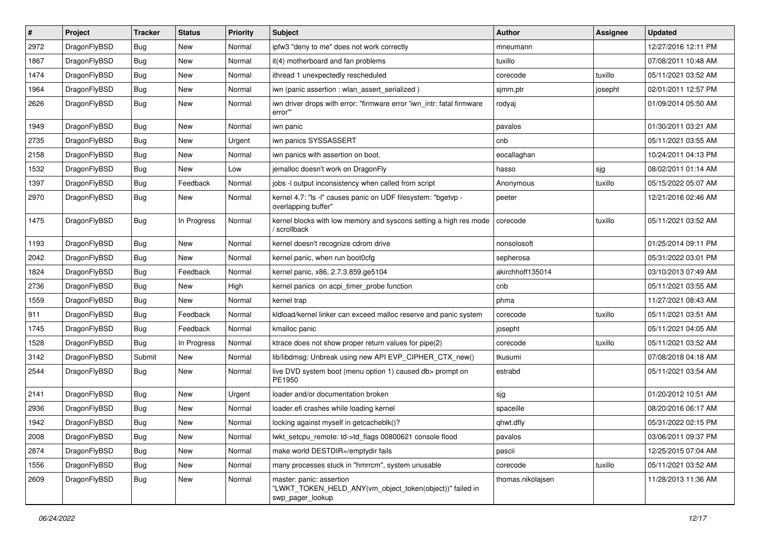| #    | Project      | <b>Tracker</b> | <b>Status</b> | <b>Priority</b> | Subject                                                                                                  | Author            | Assignee | <b>Updated</b>      |
|------|--------------|----------------|---------------|-----------------|----------------------------------------------------------------------------------------------------------|-------------------|----------|---------------------|
| 2972 | DragonFlyBSD | Bug            | <b>New</b>    | Normal          | ipfw3 "deny to me" does not work correctly                                                               | mneumann          |          | 12/27/2016 12:11 PM |
| 1867 | DragonFlyBSD | <b>Bug</b>     | <b>New</b>    | Normal          | it(4) motherboard and fan problems                                                                       | tuxillo           |          | 07/08/2011 10:48 AM |
| 1474 | DragonFlyBSD | <b>Bug</b>     | New           | Normal          | ithread 1 unexpectedly rescheduled                                                                       | corecode          | tuxillo  | 05/11/2021 03:52 AM |
| 1964 | DragonFlyBSD | Bug            | New           | Normal          | iwn (panic assertion : wlan assert serialized)                                                           | sjmm.ptr          | josepht  | 02/01/2011 12:57 PM |
| 2626 | DragonFlyBSD | <b>Bug</b>     | New           | Normal          | iwn driver drops with error: "firmware error 'iwn_intr: fatal firmware<br>error""                        | rodyaj            |          | 01/09/2014 05:50 AM |
| 1949 | DragonFlyBSD | <b>Bug</b>     | <b>New</b>    | Normal          | iwn panic                                                                                                | pavalos           |          | 01/30/2011 03:21 AM |
| 2735 | DragonFlyBSD | Bug            | New           | Urgent          | iwn panics SYSSASSERT                                                                                    | cnb               |          | 05/11/2021 03:55 AM |
| 2158 | DragonFlyBSD | Bug            | New           | Normal          | iwn panics with assertion on boot.                                                                       | eocallaghan       |          | 10/24/2011 04:13 PM |
| 1532 | DragonFlyBSD | Bug            | New           | Low             | jemalloc doesn't work on DragonFly                                                                       | hasso             | sjg      | 08/02/2011 01:14 AM |
| 1397 | DragonFlyBSD | <b>Bug</b>     | Feedback      | Normal          | jobs -I output inconsistency when called from script                                                     | Anonymous         | tuxillo  | 05/15/2022 05:07 AM |
| 2970 | DragonFlyBSD | Bug            | New           | Normal          | kernel 4.7: "Is -I" causes panic on UDF filesystem: "bgetvp -<br>overlapping buffer"                     | peeter            |          | 12/21/2016 02:46 AM |
| 1475 | DragonFlyBSD | Bug            | In Progress   | Normal          | kernel blocks with low memory and syscons setting a high res mode<br>scrollback                          | corecode          | tuxillo  | 05/11/2021 03:52 AM |
| 1193 | DragonFlyBSD | <b>Bug</b>     | New           | Normal          | kernel doesn't recognize cdrom drive                                                                     | nonsolosoft       |          | 01/25/2014 09:11 PM |
| 2042 | DragonFlyBSD | Bug            | New           | Normal          | kernel panic, when run boot0cfg                                                                          | sepherosa         |          | 05/31/2022 03:01 PM |
| 1824 | DragonFlyBSD | <b>Bug</b>     | Feedback      | Normal          | kernel panic, x86, 2.7.3.859.ge5104                                                                      | akirchhoff135014  |          | 03/10/2013 07:49 AM |
| 2736 | DragonFlyBSD | <b>Bug</b>     | New           | High            | kernel panics on acpi_timer_probe function                                                               | cnb               |          | 05/11/2021 03:55 AM |
| 1559 | DragonFlyBSD | Bug            | <b>New</b>    | Normal          | kernel trap                                                                                              | phma              |          | 11/27/2021 08:43 AM |
| 911  | DragonFlyBSD | Bug            | Feedback      | Normal          | kldload/kernel linker can exceed malloc reserve and panic system                                         | corecode          | tuxillo  | 05/11/2021 03:51 AM |
| 1745 | DragonFlyBSD | <b>Bug</b>     | Feedback      | Normal          | kmalloc panic                                                                                            | josepht           |          | 05/11/2021 04:05 AM |
| 1528 | DragonFlyBSD | Bug            | In Progress   | Normal          | ktrace does not show proper return values for pipe(2)                                                    | corecode          | tuxillo  | 05/11/2021 03:52 AM |
| 3142 | DragonFlyBSD | Submit         | New           | Normal          | lib/libdmsg: Unbreak using new API EVP_CIPHER_CTX_new()                                                  | tkusumi           |          | 07/08/2018 04:18 AM |
| 2544 | DragonFlyBSD | Bug            | New           | Normal          | live DVD system boot (menu option 1) caused db> prompt on<br>PE1950                                      | estrabd           |          | 05/11/2021 03:54 AM |
| 2141 | DragonFlyBSD | Bug            | New           | Urgent          | loader and/or documentation broken                                                                       | sjg               |          | 01/20/2012 10:51 AM |
| 2936 | DragonFlyBSD | Bug            | <b>New</b>    | Normal          | loader.efi crashes while loading kernel                                                                  | spaceille         |          | 08/20/2016 06:17 AM |
| 1942 | DragonFlyBSD | <b>Bug</b>     | New           | Normal          | locking against myself in getcacheblk()?                                                                 | qhwt.dfly         |          | 05/31/2022 02:15 PM |
| 2008 | DragonFlyBSD | <b>Bug</b>     | New           | Normal          | lwkt_setcpu_remote: td->td_flags 00800621 console flood                                                  | pavalos           |          | 03/06/2011 09:37 PM |
| 2874 | DragonFlyBSD | Bug            | New           | Normal          | make world DESTDIR=/emptydir fails                                                                       | pascii            |          | 12/25/2015 07:04 AM |
| 1556 | DragonFlyBSD | <b>Bug</b>     | New           | Normal          | many processes stuck in "hmrrcm", system unusable                                                        | corecode          | tuxillo  | 05/11/2021 03:52 AM |
| 2609 | DragonFlyBSD | <b>Bug</b>     | New           | Normal          | master: panic: assertion<br>"LWKT_TOKEN_HELD_ANY(vm_object_token(object))" failed in<br>swp_pager_lookup | thomas.nikolajsen |          | 11/28/2013 11:36 AM |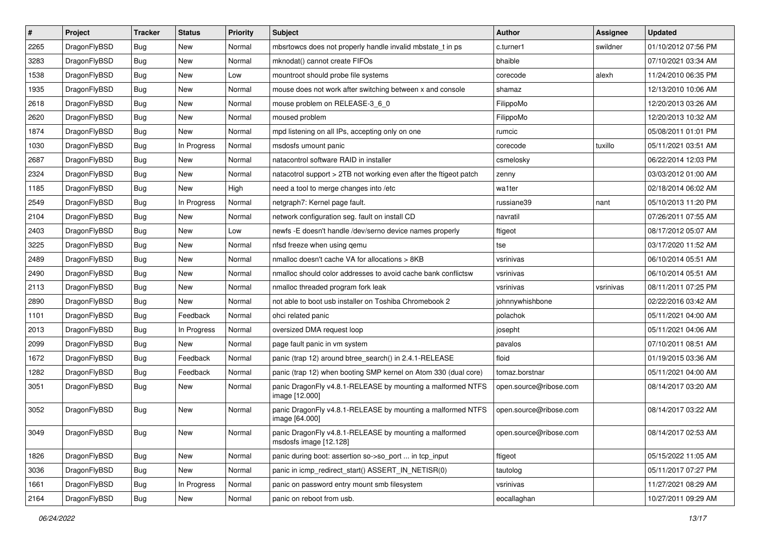| #    | Project      | <b>Tracker</b> | <b>Status</b> | <b>Priority</b> | Subject                                                                          | <b>Author</b>          | <b>Assignee</b> | <b>Updated</b>      |
|------|--------------|----------------|---------------|-----------------|----------------------------------------------------------------------------------|------------------------|-----------------|---------------------|
| 2265 | DragonFlyBSD | Bug            | New           | Normal          | mbsrtowcs does not properly handle invalid mbstate t in ps                       | c.turner1              | swildner        | 01/10/2012 07:56 PM |
| 3283 | DragonFlyBSD | Bug            | <b>New</b>    | Normal          | mknodat() cannot create FIFOs                                                    | bhaible                |                 | 07/10/2021 03:34 AM |
| 1538 | DragonFlyBSD | Bug            | New           | Low             | mountroot should probe file systems                                              | corecode               | alexh           | 11/24/2010 06:35 PM |
| 1935 | DragonFlyBSD | Bug            | <b>New</b>    | Normal          | mouse does not work after switching between x and console                        | shamaz                 |                 | 12/13/2010 10:06 AM |
| 2618 | DragonFlyBSD | Bug            | <b>New</b>    | Normal          | mouse problem on RELEASE-3_6_0                                                   | FilippoMo              |                 | 12/20/2013 03:26 AM |
| 2620 | DragonFlyBSD | Bug            | New           | Normal          | moused problem                                                                   | FilippoMo              |                 | 12/20/2013 10:32 AM |
| 1874 | DragonFlyBSD | Bug            | <b>New</b>    | Normal          | mpd listening on all IPs, accepting only on one                                  | rumcic                 |                 | 05/08/2011 01:01 PM |
| 1030 | DragonFlyBSD | Bug            | In Progress   | Normal          | msdosfs umount panic                                                             | corecode               | tuxillo         | 05/11/2021 03:51 AM |
| 2687 | DragonFlyBSD | Bug            | New           | Normal          | natacontrol software RAID in installer                                           | csmelosky              |                 | 06/22/2014 12:03 PM |
| 2324 | DragonFlyBSD | Bug            | <b>New</b>    | Normal          | natacotrol support > 2TB not working even after the ftigeot patch                | zenny                  |                 | 03/03/2012 01:00 AM |
| 1185 | DragonFlyBSD | Bug            | <b>New</b>    | High            | need a tool to merge changes into /etc                                           | wa1ter                 |                 | 02/18/2014 06:02 AM |
| 2549 | DragonFlyBSD | Bug            | In Progress   | Normal          | netgraph7: Kernel page fault.                                                    | russiane39             | nant            | 05/10/2013 11:20 PM |
| 2104 | DragonFlyBSD | <b>Bug</b>     | New           | Normal          | network configuration seg. fault on install CD                                   | navratil               |                 | 07/26/2011 07:55 AM |
| 2403 | DragonFlyBSD | <b>Bug</b>     | <b>New</b>    | Low             | newfs -E doesn't handle /dev/serno device names properly                         | ftigeot                |                 | 08/17/2012 05:07 AM |
| 3225 | DragonFlyBSD | Bug            | <b>New</b>    | Normal          | nfsd freeze when using gemu                                                      | tse                    |                 | 03/17/2020 11:52 AM |
| 2489 | DragonFlyBSD | <b>Bug</b>     | <b>New</b>    | Normal          | nmalloc doesn't cache VA for allocations > 8KB                                   | vsrinivas              |                 | 06/10/2014 05:51 AM |
| 2490 | DragonFlyBSD | <b>Bug</b>     | <b>New</b>    | Normal          | nmalloc should color addresses to avoid cache bank conflictsw                    | vsrinivas              |                 | 06/10/2014 05:51 AM |
| 2113 | DragonFlyBSD | Bug            | <b>New</b>    | Normal          | nmalloc threaded program fork leak                                               | vsrinivas              | vsrinivas       | 08/11/2011 07:25 PM |
| 2890 | DragonFlyBSD | <b>Bug</b>     | <b>New</b>    | Normal          | not able to boot usb installer on Toshiba Chromebook 2                           | johnnywhishbone        |                 | 02/22/2016 03:42 AM |
| 1101 | DragonFlyBSD | <b>Bug</b>     | Feedback      | Normal          | ohci related panic                                                               | polachok               |                 | 05/11/2021 04:00 AM |
| 2013 | DragonFlyBSD | <b>Bug</b>     | In Progress   | Normal          | oversized DMA request loop                                                       | josepht                |                 | 05/11/2021 04:06 AM |
| 2099 | DragonFlyBSD | <b>Bug</b>     | New           | Normal          | page fault panic in vm system                                                    | pavalos                |                 | 07/10/2011 08:51 AM |
| 1672 | DragonFlyBSD | Bug            | Feedback      | Normal          | panic (trap 12) around btree_search() in 2.4.1-RELEASE                           | floid                  |                 | 01/19/2015 03:36 AM |
| 1282 | DragonFlyBSD | <b>Bug</b>     | Feedback      | Normal          | panic (trap 12) when booting SMP kernel on Atom 330 (dual core)                  | tomaz.borstnar         |                 | 05/11/2021 04:00 AM |
| 3051 | DragonFlyBSD | <b>Bug</b>     | New           | Normal          | panic DragonFly v4.8.1-RELEASE by mounting a malformed NTFS<br>image [12.000]    | open.source@ribose.com |                 | 08/14/2017 03:20 AM |
| 3052 | DragonFlyBSD | Bug            | <b>New</b>    | Normal          | panic DragonFly v4.8.1-RELEASE by mounting a malformed NTFS<br>image [64.000]    | open.source@ribose.com |                 | 08/14/2017 03:22 AM |
| 3049 | DragonFlyBSD | <b>Bug</b>     | New           | Normal          | panic DragonFly v4.8.1-RELEASE by mounting a malformed<br>msdosfs image [12.128] | open.source@ribose.com |                 | 08/14/2017 02:53 AM |
| 1826 | DragonFlyBSD | Bug            | New           | Normal          | panic during boot: assertion so->so_port  in tcp_input                           | ftigeot                |                 | 05/15/2022 11:05 AM |
| 3036 | DragonFlyBSD | <b>Bug</b>     | New           | Normal          | panic in icmp_redirect_start() ASSERT_IN_NETISR(0)                               | tautolog               |                 | 05/11/2017 07:27 PM |
| 1661 | DragonFlyBSD | <b>Bug</b>     | In Progress   | Normal          | panic on password entry mount smb filesystem                                     | vsrinivas              |                 | 11/27/2021 08:29 AM |
| 2164 | DragonFlyBSD | <b>Bug</b>     | New           | Normal          | panic on reboot from usb.                                                        | eocallaghan            |                 | 10/27/2011 09:29 AM |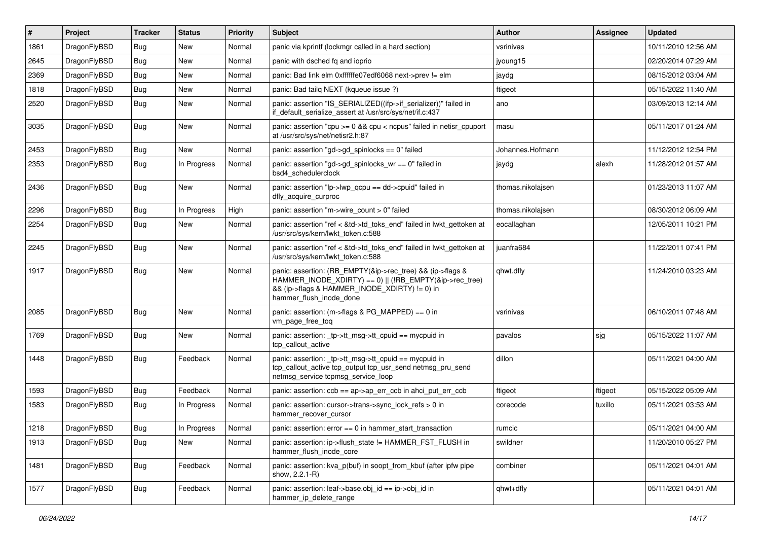| $\vert$ # | Project      | <b>Tracker</b> | <b>Status</b> | <b>Priority</b> | Subject                                                                                                                                                                                           | <b>Author</b>     | <b>Assignee</b> | <b>Updated</b>      |
|-----------|--------------|----------------|---------------|-----------------|---------------------------------------------------------------------------------------------------------------------------------------------------------------------------------------------------|-------------------|-----------------|---------------------|
| 1861      | DragonFlyBSD | Bug            | <b>New</b>    | Normal          | panic via kprintf (lockmgr called in a hard section)                                                                                                                                              | vsrinivas         |                 | 10/11/2010 12:56 AM |
| 2645      | DragonFlyBSD | Bug            | New           | Normal          | panic with dsched fq and ioprio                                                                                                                                                                   | jyoung15          |                 | 02/20/2014 07:29 AM |
| 2369      | DragonFlyBSD | Bug            | New           | Normal          | panic: Bad link elm 0xffffffe07edf6068 next->prev != elm                                                                                                                                          | jaydg             |                 | 08/15/2012 03:04 AM |
| 1818      | DragonFlyBSD | Bug            | New           | Normal          | panic: Bad tailg NEXT (kqueue issue ?)                                                                                                                                                            | ftigeot           |                 | 05/15/2022 11:40 AM |
| 2520      | DragonFlyBSD | Bug            | New           | Normal          | panic: assertion "IS_SERIALIZED((ifp->if_serializer))" failed in<br>if_default_serialize_assert at /usr/src/sys/net/if.c:437                                                                      | ano               |                 | 03/09/2013 12:14 AM |
| 3035      | DragonFlyBSD | Bug            | New           | Normal          | panic: assertion "cpu >= 0 && cpu < ncpus" failed in netisr_cpuport<br>at /usr/src/svs/net/netisr2.h:87                                                                                           | masu              |                 | 05/11/2017 01:24 AM |
| 2453      | DragonFlyBSD | Bug            | New           | Normal          | panic: assertion "gd->gd_spinlocks == 0" failed                                                                                                                                                   | Johannes.Hofmann  |                 | 11/12/2012 12:54 PM |
| 2353      | DragonFlyBSD | Bug            | In Progress   | Normal          | panic: assertion "gd->gd_spinlocks_wr == 0" failed in<br>bsd4_schedulerclock                                                                                                                      | jaydg             | alexh           | 11/28/2012 01:57 AM |
| 2436      | DragonFlyBSD | Bug            | New           | Normal          | panic: assertion "lp->lwp_qcpu == dd->cpuid" failed in<br>dfly_acquire_curproc                                                                                                                    | thomas.nikolajsen |                 | 01/23/2013 11:07 AM |
| 2296      | DragonFlyBSD | Bug            | In Progress   | High            | panic: assertion "m->wire count > 0" failed                                                                                                                                                       | thomas.nikolajsen |                 | 08/30/2012 06:09 AM |
| 2254      | DragonFlyBSD | Bug            | New           | Normal          | panic: assertion "ref < &td->td toks end" failed in lwkt gettoken at<br>/usr/src/sys/kern/lwkt_token.c:588                                                                                        | eocallaghan       |                 | 12/05/2011 10:21 PM |
| 2245      | DragonFlyBSD | Bug            | <b>New</b>    | Normal          | panic: assertion "ref < &td->td toks end" failed in lwkt gettoken at<br>/usr/src/sys/kern/lwkt_token.c:588                                                                                        | juanfra684        |                 | 11/22/2011 07:41 PM |
| 1917      | DragonFlyBSD | <b>Bug</b>     | <b>New</b>    | Normal          | panic: assertion: (RB EMPTY(&ip->rec tree) && (ip->flags &<br>HAMMER_INODE_XDIRTY) == 0)    (!RB_EMPTY(&ip->rec_tree)<br>&& (ip->flags & HAMMER_INODE_XDIRTY) != 0) in<br>hammer_flush_inode_done | qhwt.dfly         |                 | 11/24/2010 03:23 AM |
| 2085      | DragonFlyBSD | <b>Bug</b>     | New           | Normal          | panic: assertion: (m->flags & PG_MAPPED) == 0 in<br>vm_page_free_toq                                                                                                                              | vsrinivas         |                 | 06/10/2011 07:48 AM |
| 1769      | DragonFlyBSD | Bug            | New           | Normal          | panic: assertion: _tp->tt_msg->tt_cpuid == mycpuid in<br>tcp callout active                                                                                                                       | pavalos           | sjg             | 05/15/2022 11:07 AM |
| 1448      | DragonFlyBSD | <b>Bug</b>     | Feedback      | Normal          | panic: assertion: _tp->tt_msg->tt_cpuid == mycpuid in<br>tcp_callout_active tcp_output tcp_usr_send netmsg_pru_send<br>netmsg_service tcpmsg_service_loop                                         | dillon            |                 | 05/11/2021 04:00 AM |
| 1593      | DragonFlyBSD | Bug            | Feedback      | Normal          | panic: assertion: $\cosh ==$ ap->ap err $\cosh$ in ahci put err $\cosh$                                                                                                                           | ftigeot           | ftigeot         | 05/15/2022 05:09 AM |
| 1583      | DragonFlyBSD | Bug            | In Progress   | Normal          | panic: assertion: cursor->trans->sync lock refs $> 0$ in<br>hammer_recover_cursor                                                                                                                 | corecode          | tuxillo         | 05/11/2021 03:53 AM |
| 1218      | DragonFlyBSD | Bug            | In Progress   | Normal          | panic: assertion: error == 0 in hammer_start_transaction                                                                                                                                          | rumcic            |                 | 05/11/2021 04:00 AM |
| 1913      | DragonFlyBSD | Bug            | New           | Normal          | panic: assertion: ip->flush_state != HAMMER_FST_FLUSH in<br>hammer_flush_inode_core                                                                                                               | swildner          |                 | 11/20/2010 05:27 PM |
| 1481      | DragonFlyBSD | Bug            | Feedback      | Normal          | panic: assertion: kva_p(buf) in soopt_from_kbuf (after ipfw pipe<br>show, 2.2.1-R)                                                                                                                | combiner          |                 | 05/11/2021 04:01 AM |
| 1577      | DragonFlyBSD | <b>Bug</b>     | Feedback      | Normal          | panic: assertion: leaf->base.obj_id == ip->obj_id in<br>hammer_ip_delete_range                                                                                                                    | qhwt+dfly         |                 | 05/11/2021 04:01 AM |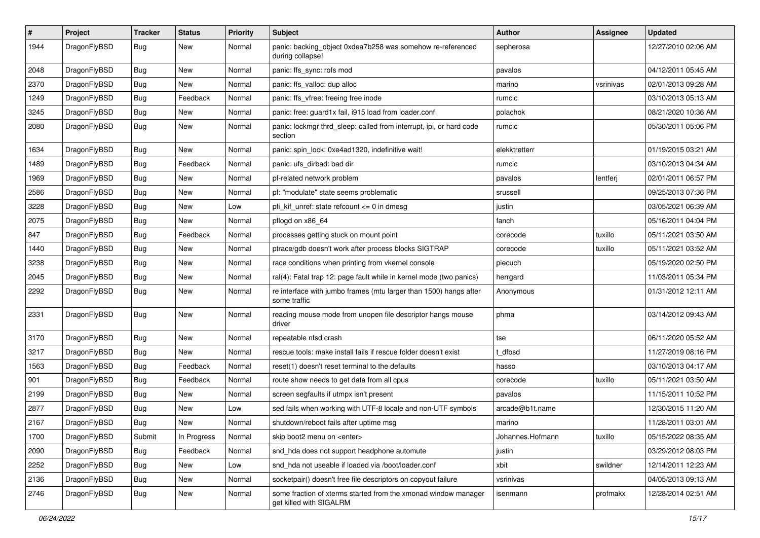| $\sharp$ | Project      | <b>Tracker</b> | <b>Status</b> | <b>Priority</b> | Subject                                                                                   | Author           | <b>Assignee</b> | <b>Updated</b>      |
|----------|--------------|----------------|---------------|-----------------|-------------------------------------------------------------------------------------------|------------------|-----------------|---------------------|
| 1944     | DragonFlyBSD | Bug            | <b>New</b>    | Normal          | panic: backing_object 0xdea7b258 was somehow re-referenced<br>during collapse!            | sepherosa        |                 | 12/27/2010 02:06 AM |
| 2048     | DragonFlyBSD | Bug            | <b>New</b>    | Normal          | panic: ffs_sync: rofs mod                                                                 | pavalos          |                 | 04/12/2011 05:45 AM |
| 2370     | DragonFlyBSD | <b>Bug</b>     | New           | Normal          | panic: ffs_valloc: dup alloc                                                              | marino           | vsrinivas       | 02/01/2013 09:28 AM |
| 1249     | DragonFlyBSD | Bug            | Feedback      | Normal          | panic: ffs_vfree: freeing free inode                                                      | rumcic           |                 | 03/10/2013 05:13 AM |
| 3245     | DragonFlyBSD | <b>Bug</b>     | <b>New</b>    | Normal          | panic: free: guard1x fail, i915 load from loader.conf                                     | polachok         |                 | 08/21/2020 10:36 AM |
| 2080     | DragonFlyBSD | <b>Bug</b>     | <b>New</b>    | Normal          | panic: lockmgr thrd sleep: called from interrupt, ipi, or hard code<br>section            | rumcic           |                 | 05/30/2011 05:06 PM |
| 1634     | DragonFlyBSD | Bug            | <b>New</b>    | Normal          | panic: spin lock: 0xe4ad1320, indefinitive wait!                                          | elekktretterr    |                 | 01/19/2015 03:21 AM |
| 1489     | DragonFlyBSD | Bug            | Feedback      | Normal          | panic: ufs dirbad: bad dir                                                                | rumcic           |                 | 03/10/2013 04:34 AM |
| 1969     | DragonFlyBSD | Bug            | <b>New</b>    | Normal          | pf-related network problem                                                                | pavalos          | lentferj        | 02/01/2011 06:57 PM |
| 2586     | DragonFlyBSD | Bug            | New           | Normal          | pf: "modulate" state seems problematic                                                    | srussell         |                 | 09/25/2013 07:36 PM |
| 3228     | DragonFlyBSD | Bug            | <b>New</b>    | Low             | pfi_kif_unref: state refcount <= 0 in dmesg                                               | justin           |                 | 03/05/2021 06:39 AM |
| 2075     | DragonFlyBSD | Bug            | New           | Normal          | pflogd on x86 64                                                                          | fanch            |                 | 05/16/2011 04:04 PM |
| 847      | DragonFlyBSD | Bug            | Feedback      | Normal          | processes getting stuck on mount point                                                    | corecode         | tuxillo         | 05/11/2021 03:50 AM |
| 1440     | DragonFlyBSD | Bug            | <b>New</b>    | Normal          | ptrace/gdb doesn't work after process blocks SIGTRAP                                      | corecode         | tuxillo         | 05/11/2021 03:52 AM |
| 3238     | DragonFlyBSD | <b>Bug</b>     | <b>New</b>    | Normal          | race conditions when printing from vkernel console                                        | piecuch          |                 | 05/19/2020 02:50 PM |
| 2045     | DragonFlyBSD | Bug            | <b>New</b>    | Normal          | ral(4): Fatal trap 12: page fault while in kernel mode (two panics)                       | herrgard         |                 | 11/03/2011 05:34 PM |
| 2292     | DragonFlyBSD | <b>Bug</b>     | New           | Normal          | re interface with jumbo frames (mtu larger than 1500) hangs after<br>some traffic         | Anonymous        |                 | 01/31/2012 12:11 AM |
| 2331     | DragonFlyBSD | <b>Bug</b>     | New           | Normal          | reading mouse mode from unopen file descriptor hangs mouse<br>driver                      | phma             |                 | 03/14/2012 09:43 AM |
| 3170     | DragonFlyBSD | Bug            | <b>New</b>    | Normal          | repeatable nfsd crash                                                                     | tse              |                 | 06/11/2020 05:52 AM |
| 3217     | DragonFlyBSD | Bug            | New           | Normal          | rescue tools: make install fails if rescue folder doesn't exist                           | t dfbsd          |                 | 11/27/2019 08:16 PM |
| 1563     | DragonFlyBSD | <b>Bug</b>     | Feedback      | Normal          | reset(1) doesn't reset terminal to the defaults                                           | hasso            |                 | 03/10/2013 04:17 AM |
| 901      | DragonFlyBSD | Bug            | Feedback      | Normal          | route show needs to get data from all cpus                                                | corecode         | tuxillo         | 05/11/2021 03:50 AM |
| 2199     | DragonFlyBSD | <b>Bug</b>     | New           | Normal          | screen segfaults if utmpx isn't present                                                   | pavalos          |                 | 11/15/2011 10:52 PM |
| 2877     | DragonFlyBSD | Bug            | New           | Low             | sed fails when working with UTF-8 locale and non-UTF symbols                              | arcade@b1t.name  |                 | 12/30/2015 11:20 AM |
| 2167     | DragonFlyBSD | <b>Bug</b>     | New           | Normal          | shutdown/reboot fails after uptime msg                                                    | marino           |                 | 11/28/2011 03:01 AM |
| 1700     | DragonFlyBSD | Submit         | In Progress   | Normal          | skip boot2 menu on <enter></enter>                                                        | Johannes.Hofmann | tuxillo         | 05/15/2022 08:35 AM |
| 2090     | DragonFlyBSD | <b>Bug</b>     | Feedback      | Normal          | snd_hda does not support headphone automute                                               | justin           |                 | 03/29/2012 08:03 PM |
| 2252     | DragonFlyBSD | <b>Bug</b>     | New           | Low             | snd hda not useable if loaded via /boot/loader.conf                                       | xbit             | swildner        | 12/14/2011 12:23 AM |
| 2136     | DragonFlyBSD | <b>Bug</b>     | New           | Normal          | socketpair() doesn't free file descriptors on copyout failure                             | vsrinivas        |                 | 04/05/2013 09:13 AM |
| 2746     | DragonFlyBSD | <b>Bug</b>     | New           | Normal          | some fraction of xterms started from the xmonad window manager<br>get killed with SIGALRM | isenmann         | profmakx        | 12/28/2014 02:51 AM |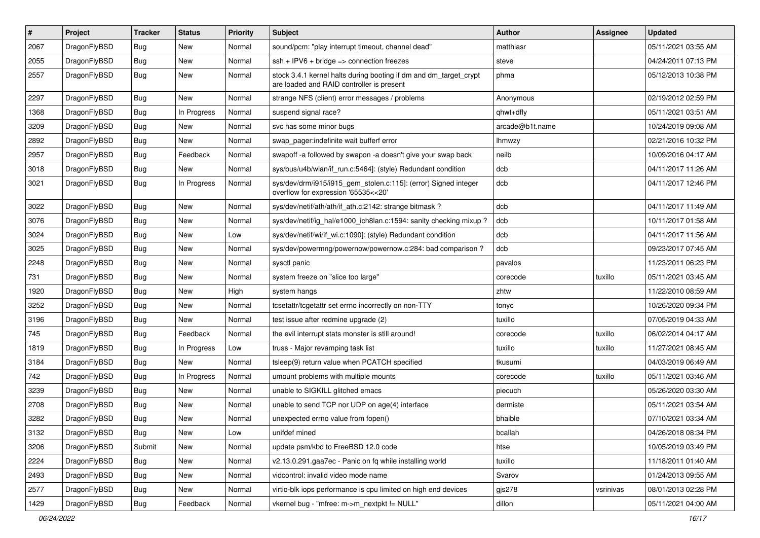| #    | Project      | <b>Tracker</b> | <b>Status</b> | <b>Priority</b> | Subject                                                                                                        | <b>Author</b>   | Assignee  | <b>Updated</b>      |
|------|--------------|----------------|---------------|-----------------|----------------------------------------------------------------------------------------------------------------|-----------------|-----------|---------------------|
| 2067 | DragonFlyBSD | <b>Bug</b>     | New           | Normal          | sound/pcm: "play interrupt timeout, channel dead"                                                              | matthiasr       |           | 05/11/2021 03:55 AM |
| 2055 | DragonFlyBSD | Bug            | <b>New</b>    | Normal          | $ssh + IPV6 + bridge \Rightarrow connection freezes$                                                           | steve           |           | 04/24/2011 07:13 PM |
| 2557 | DragonFlyBSD | <b>Bug</b>     | <b>New</b>    | Normal          | stock 3.4.1 kernel halts during booting if dm and dm_target_crypt<br>are loaded and RAID controller is present | phma            |           | 05/12/2013 10:38 PM |
| 2297 | DragonFlyBSD | Bug            | <b>New</b>    | Normal          | strange NFS (client) error messages / problems                                                                 | Anonymous       |           | 02/19/2012 02:59 PM |
| 1368 | DragonFlyBSD | <b>Bug</b>     | In Progress   | Normal          | suspend signal race?                                                                                           | qhwt+dfly       |           | 05/11/2021 03:51 AM |
| 3209 | DragonFlyBSD | Bug            | <b>New</b>    | Normal          | svc has some minor bugs                                                                                        | arcade@b1t.name |           | 10/24/2019 09:08 AM |
| 2892 | DragonFlyBSD | <b>Bug</b>     | New           | Normal          | swap pager:indefinite wait bufferf error                                                                       | <b>Ihmwzy</b>   |           | 02/21/2016 10:32 PM |
| 2957 | DragonFlyBSD | <b>Bug</b>     | Feedback      | Normal          | swapoff -a followed by swapon -a doesn't give your swap back                                                   | neilb           |           | 10/09/2016 04:17 AM |
| 3018 | DragonFlyBSD | Bug            | <b>New</b>    | Normal          | sys/bus/u4b/wlan/if_run.c:5464]: (style) Redundant condition                                                   | dcb             |           | 04/11/2017 11:26 AM |
| 3021 | DragonFlyBSD | <b>Bug</b>     | In Progress   | Normal          | sys/dev/drm/i915/i915_gem_stolen.c:115]: (error) Signed integer<br>overflow for expression '65535<<20'         | dcb             |           | 04/11/2017 12:46 PM |
| 3022 | DragonFlyBSD | Bug            | <b>New</b>    | Normal          | sys/dev/netif/ath/ath/if_ath.c:2142: strange bitmask?                                                          | dcb             |           | 04/11/2017 11:49 AM |
| 3076 | DragonFlyBSD | <b>Bug</b>     | New           | Normal          | sys/dev/netif/ig hal/e1000 ich8lan.c:1594: sanity checking mixup?                                              | dcb             |           | 10/11/2017 01:58 AM |
| 3024 | DragonFlyBSD | Bug            | <b>New</b>    | Low             | sys/dev/netif/wi/if_wi.c:1090]: (style) Redundant condition                                                    | dcb             |           | 04/11/2017 11:56 AM |
| 3025 | DragonFlyBSD | <b>Bug</b>     | <b>New</b>    | Normal          | sys/dev/powermng/powernow/powernow.c:284: bad comparison ?                                                     | dcb             |           | 09/23/2017 07:45 AM |
| 2248 | DragonFlyBSD | <b>Bug</b>     | New           | Normal          | sysctl panic                                                                                                   | pavalos         |           | 11/23/2011 06:23 PM |
| 731  | DragonFlyBSD | Bug            | <b>New</b>    | Normal          | system freeze on "slice too large"                                                                             | corecode        | tuxillo   | 05/11/2021 03:45 AM |
| 1920 | DragonFlyBSD | <b>Bug</b>     | New           | High            | system hangs                                                                                                   | zhtw            |           | 11/22/2010 08:59 AM |
| 3252 | DragonFlyBSD | <b>Bug</b>     | New           | Normal          | tcsetattr/tcgetattr set errno incorrectly on non-TTY                                                           | tonyc           |           | 10/26/2020 09:34 PM |
| 3196 | DragonFlyBSD | <b>Bug</b>     | New           | Normal          | test issue after redmine upgrade (2)                                                                           | tuxillo         |           | 07/05/2019 04:33 AM |
| 745  | DragonFlyBSD | <b>Bug</b>     | Feedback      | Normal          | the evil interrupt stats monster is still around!                                                              | corecode        | tuxillo   | 06/02/2014 04:17 AM |
| 1819 | DragonFlyBSD | Bug            | In Progress   | Low             | truss - Major revamping task list                                                                              | tuxillo         | tuxillo   | 11/27/2021 08:45 AM |
| 3184 | DragonFlyBSD | <b>Bug</b>     | <b>New</b>    | Normal          | tsleep(9) return value when PCATCH specified                                                                   | tkusumi         |           | 04/03/2019 06:49 AM |
| 742  | DragonFlyBSD | <b>Bug</b>     | In Progress   | Normal          | umount problems with multiple mounts                                                                           | corecode        | tuxillo   | 05/11/2021 03:46 AM |
| 3239 | DragonFlyBSD | <b>Bug</b>     | New           | Normal          | unable to SIGKILL glitched emacs                                                                               | piecuch         |           | 05/26/2020 03:30 AM |
| 2708 | DragonFlyBSD | <b>Bug</b>     | <b>New</b>    | Normal          | unable to send TCP nor UDP on age(4) interface                                                                 | dermiste        |           | 05/11/2021 03:54 AM |
| 3282 | DragonFlyBSD | Bug            | New           | Normal          | unexpected errno value from fopen()                                                                            | bhaible         |           | 07/10/2021 03:34 AM |
| 3132 | DragonFlyBSD | Bug            | New           | Low             | unifdef mined                                                                                                  | bcallah         |           | 04/26/2018 08:34 PM |
| 3206 | DragonFlyBSD | Submit         | New           | Normal          | update psm/kbd to FreeBSD 12.0 code                                                                            | htse            |           | 10/05/2019 03:49 PM |
| 2224 | DragonFlyBSD | Bug            | New           | Normal          | v2.13.0.291.gaa7ec - Panic on fq while installing world                                                        | tuxillo         |           | 11/18/2011 01:40 AM |
| 2493 | DragonFlyBSD | <b>Bug</b>     | New           | Normal          | vidcontrol: invalid video mode name                                                                            | Svarov          |           | 01/24/2013 09:55 AM |
| 2577 | DragonFlyBSD | <b>Bug</b>     | <b>New</b>    | Normal          | virtio-blk iops performance is cpu limited on high end devices                                                 | gjs278          | vsrinivas | 08/01/2013 02:28 PM |
| 1429 | DragonFlyBSD | <b>Bug</b>     | Feedback      | Normal          | vkernel bug - "mfree: m->m_nextpkt != NULL"                                                                    | dillon          |           | 05/11/2021 04:00 AM |